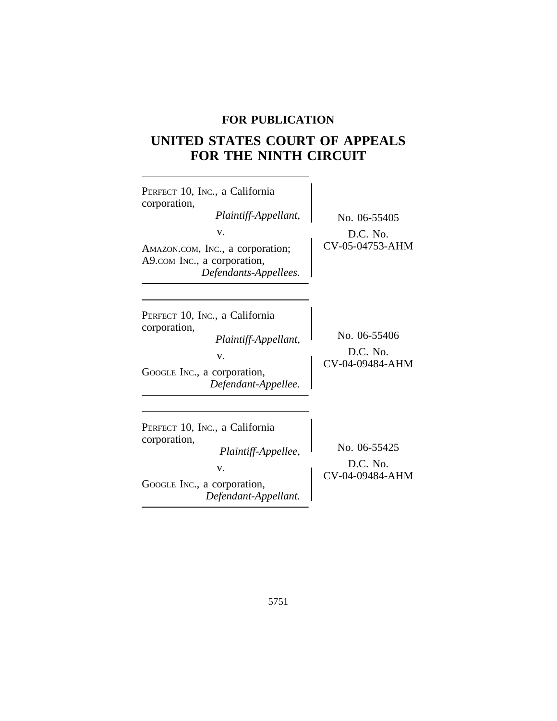# **FOR PUBLICATION**

# **UNITED STATES COURT OF APPEALS FOR THE NINTH CIRCUIT**

| PERFECT 10, INC., a California<br>corporation,<br>Plaintiff-Appellant,<br>v.<br>AMAZON.COM, INC., a corporation;<br>A9. COM INC., a corporation,<br>Defendants-Appellees. | No. 06-55405<br>D.C. No.<br>CV-05-04753-AHM   |
|---------------------------------------------------------------------------------------------------------------------------------------------------------------------------|-----------------------------------------------|
| PERFECT 10, INC., a California<br>corporation,<br>Plaintiff-Appellant,<br>v.<br>GOOGLE INC., a corporation,<br>Defendant-Appellee.                                        | No. 06-55406<br>$D.C.$ No.<br>CV-04-09484-AHM |
| PERFECT 10, INC., a California<br>corporation,<br>Plaintiff-Appellee,<br>v.<br>Google Inc., a corporation,<br>Defendant-Appellant.                                        | No. 06-55425<br>D.C. No.<br>CV-04-09484-AHM   |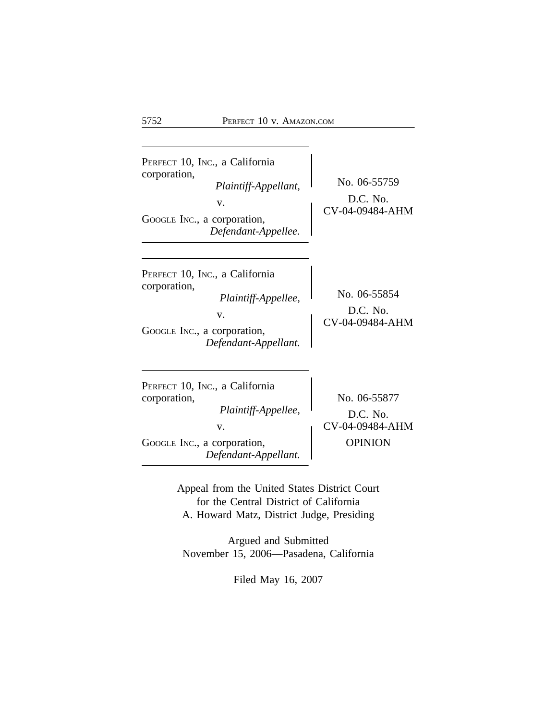| PERFECT 10, INC., a California<br>corporation,<br>Plaintiff-Appellant,<br>v.<br>GOOGLE INC., a corporation,<br>Defendant-Appellee. | No. 06-55759<br>D.C. No.<br>CV-04-09484-AHM                   |
|------------------------------------------------------------------------------------------------------------------------------------|---------------------------------------------------------------|
| PERFECT 10, INC., a California<br>corporation,<br>Plaintiff-Appellee,<br>V.<br>GOOGLE INC., a corporation,<br>Defendant-Appellant. | No. 06-55854<br>D.C. No.<br>CV-04-09484-AHM                   |
| PERFECT 10, INC., a California<br>corporation,<br>Plaintiff-Appellee,<br>V.<br>Google Inc., a corporation,<br>Defendant-Appellant. | No. 06-55877<br>D.C. No.<br>CV-04-09484-AHM<br><b>OPINION</b> |

Appeal from the United States District Court for the Central District of California A. Howard Matz, District Judge, Presiding

Argued and Submitted November 15, 2006—Pasadena, California

Filed May 16, 2007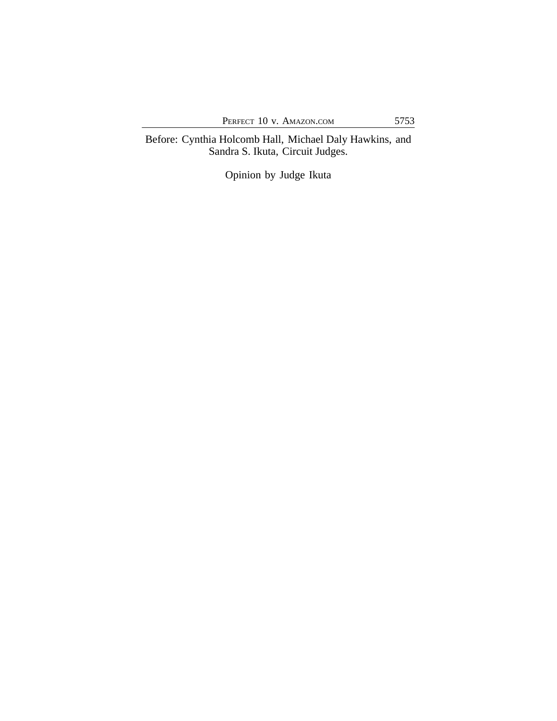Before: Cynthia Holcomb Hall, Michael Daly Hawkins, and Sandra S. Ikuta, Circuit Judges.

Opinion by Judge Ikuta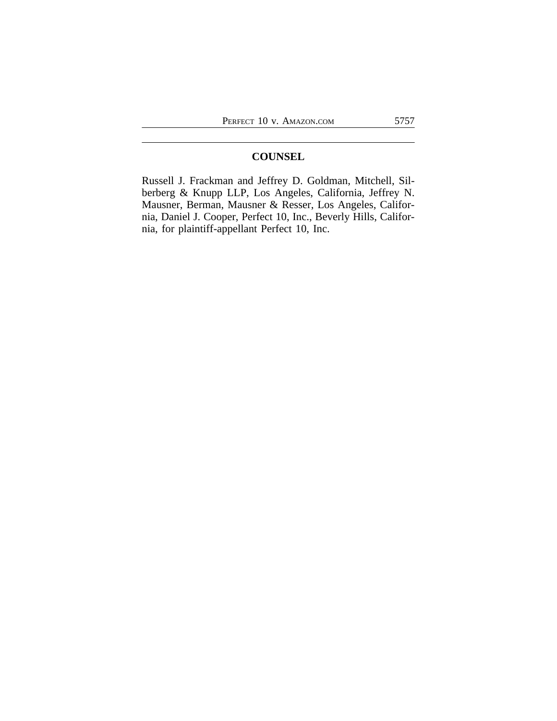# **COUNSEL**

Russell J. Frackman and Jeffrey D. Goldman, Mitchell, Silberberg & Knupp LLP, Los Angeles, California, Jeffrey N. Mausner, Berman, Mausner & Resser, Los Angeles, California, Daniel J. Cooper, Perfect 10, Inc., Beverly Hills, California, for plaintiff-appellant Perfect 10, Inc.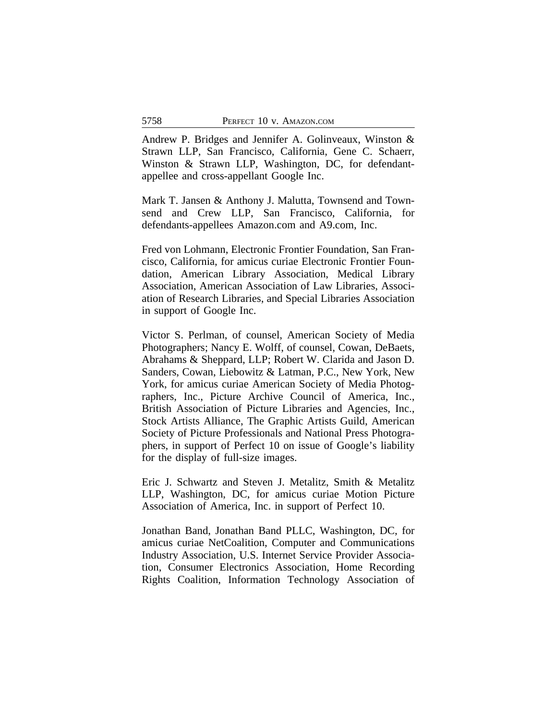Andrew P. Bridges and Jennifer A. Golinveaux, Winston & Strawn LLP, San Francisco, California, Gene C. Schaerr, Winston & Strawn LLP, Washington, DC, for defendantappellee and cross-appellant Google Inc.

Mark T. Jansen & Anthony J. Malutta, Townsend and Townsend and Crew LLP, San Francisco, California, for defendants-appellees Amazon.com and A9.com, Inc.

Fred von Lohmann, Electronic Frontier Foundation, San Francisco, California, for amicus curiae Electronic Frontier Foundation, American Library Association, Medical Library Association, American Association of Law Libraries, Association of Research Libraries, and Special Libraries Association in support of Google Inc.

Victor S. Perlman, of counsel, American Society of Media Photographers; Nancy E. Wolff, of counsel, Cowan, DeBaets, Abrahams & Sheppard, LLP; Robert W. Clarida and Jason D. Sanders, Cowan, Liebowitz & Latman, P.C., New York, New York, for amicus curiae American Society of Media Photographers, Inc., Picture Archive Council of America, Inc., British Association of Picture Libraries and Agencies, Inc., Stock Artists Alliance, The Graphic Artists Guild, American Society of Picture Professionals and National Press Photographers, in support of Perfect 10 on issue of Google's liability for the display of full-size images.

Eric J. Schwartz and Steven J. Metalitz, Smith & Metalitz LLP, Washington, DC, for amicus curiae Motion Picture Association of America, Inc. in support of Perfect 10.

Jonathan Band, Jonathan Band PLLC, Washington, DC, for amicus curiae NetCoalition, Computer and Communications Industry Association, U.S. Internet Service Provider Association, Consumer Electronics Association, Home Recording Rights Coalition, Information Technology Association of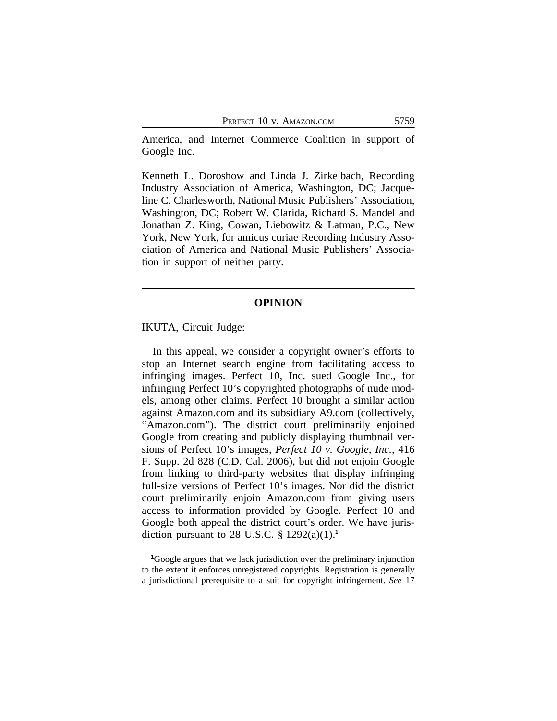America, and Internet Commerce Coalition in support of Google Inc.

Kenneth L. Doroshow and Linda J. Zirkelbach, Recording Industry Association of America, Washington, DC; Jacqueline C. Charlesworth, National Music Publishers' Association, Washington, DC; Robert W. Clarida, Richard S. Mandel and Jonathan Z. King, Cowan, Liebowitz & Latman, P.C., New York, New York, for amicus curiae Recording Industry Association of America and National Music Publishers' Association in support of neither party.

#### **OPINION**

IKUTA, Circuit Judge:

In this appeal, we consider a copyright owner's efforts to stop an Internet search engine from facilitating access to infringing images. Perfect 10, Inc. sued Google Inc., for infringing Perfect 10's copyrighted photographs of nude models, among other claims. Perfect 10 brought a similar action against Amazon.com and its subsidiary A9.com (collectively, "Amazon.com"). The district court preliminarily enjoined Google from creating and publicly displaying thumbnail versions of Perfect 10's images, *Perfect 10 v. Google, Inc.*, 416 F. Supp. 2d 828 (C.D. Cal. 2006), but did not enjoin Google from linking to third-party websites that display infringing full-size versions of Perfect 10's images. Nor did the district court preliminarily enjoin Amazon.com from giving users access to information provided by Google. Perfect 10 and Google both appeal the district court's order. We have jurisdiction pursuant to 28 U.S.C.  $\S 1292(a)(1)$ .<sup>1</sup>

**<sup>1</sup>**Google argues that we lack jurisdiction over the preliminary injunction to the extent it enforces unregistered copyrights. Registration is generally a jurisdictional prerequisite to a suit for copyright infringement. *See* 17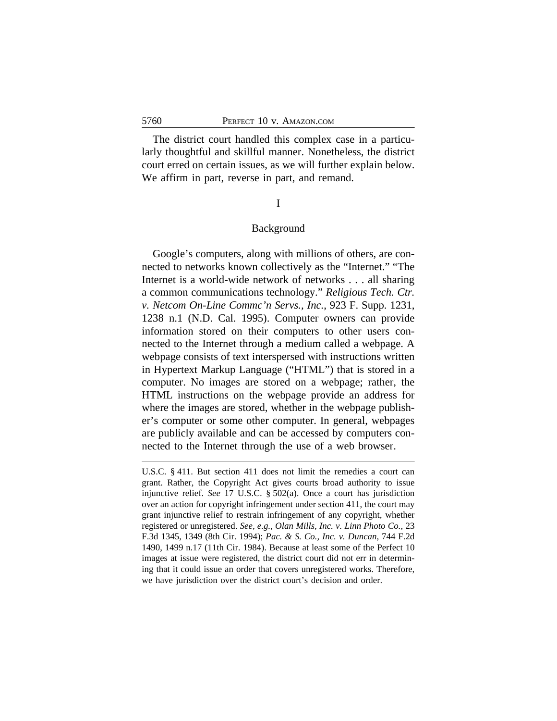The district court handled this complex case in a particularly thoughtful and skillful manner. Nonetheless, the district court erred on certain issues, as we will further explain below. We affirm in part, reverse in part, and remand.

I

### Background

Google's computers, along with millions of others, are connected to networks known collectively as the "Internet." "The Internet is a world-wide network of networks . . . all sharing a common communications technology." *Religious Tech. Ctr. v. Netcom On-Line Commc'n Servs., Inc.*, 923 F. Supp. 1231, 1238 n.1 (N.D. Cal. 1995). Computer owners can provide information stored on their computers to other users connected to the Internet through a medium called a webpage. A webpage consists of text interspersed with instructions written in Hypertext Markup Language ("HTML") that is stored in a computer. No images are stored on a webpage; rather, the HTML instructions on the webpage provide an address for where the images are stored, whether in the webpage publisher's computer or some other computer. In general, webpages are publicly available and can be accessed by computers connected to the Internet through the use of a web browser.

U.S.C. § 411. But section 411 does not limit the remedies a court can grant. Rather, the Copyright Act gives courts broad authority to issue injunctive relief. *See* 17 U.S.C. § 502(a). Once a court has jurisdiction over an action for copyright infringement under section 411, the court may grant injunctive relief to restrain infringement of any copyright, whether registered or unregistered. *See, e.g.*, *Olan Mills, Inc. v. Linn Photo Co.*, 23 F.3d 1345, 1349 (8th Cir. 1994); *Pac. & S. Co., Inc. v. Duncan*, 744 F.2d 1490, 1499 n.17 (11th Cir. 1984). Because at least some of the Perfect 10 images at issue were registered, the district court did not err in determining that it could issue an order that covers unregistered works. Therefore, we have jurisdiction over the district court's decision and order.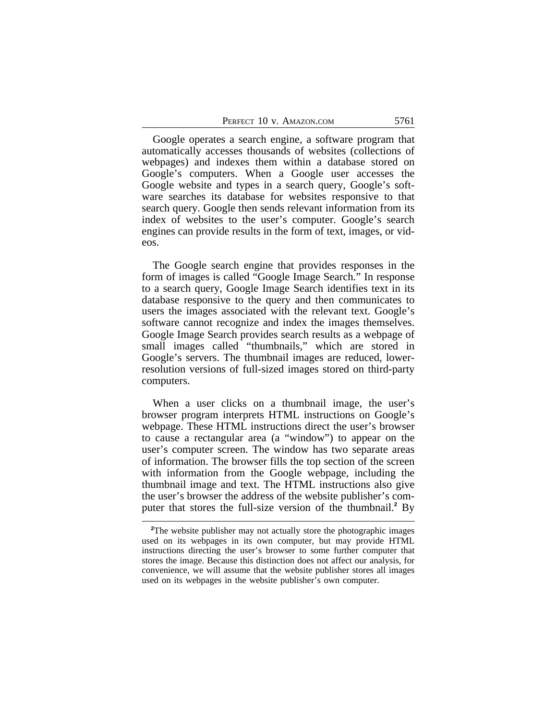PERFECT 10 v. AMAZON.COM 5761

Google operates a search engine, a software program that automatically accesses thousands of websites (collections of webpages) and indexes them within a database stored on Google's computers. When a Google user accesses the Google website and types in a search query, Google's software searches its database for websites responsive to that search query. Google then sends relevant information from its index of websites to the user's computer. Google's search engines can provide results in the form of text, images, or videos.

The Google search engine that provides responses in the form of images is called "Google Image Search." In response to a search query, Google Image Search identifies text in its database responsive to the query and then communicates to users the images associated with the relevant text. Google's software cannot recognize and index the images themselves. Google Image Search provides search results as a webpage of small images called "thumbnails," which are stored in Google's servers. The thumbnail images are reduced, lowerresolution versions of full-sized images stored on third-party computers.

When a user clicks on a thumbnail image, the user's browser program interprets HTML instructions on Google's webpage. These HTML instructions direct the user's browser to cause a rectangular area (a "window") to appear on the user's computer screen. The window has two separate areas of information. The browser fills the top section of the screen with information from the Google webpage, including the thumbnail image and text. The HTML instructions also give the user's browser the address of the website publisher's computer that stores the full-size version of the thumbnail.**<sup>2</sup>** By

<sup>&</sup>lt;sup>2</sup>The website publisher may not actually store the photographic images used on its webpages in its own computer, but may provide HTML instructions directing the user's browser to some further computer that stores the image. Because this distinction does not affect our analysis, for convenience, we will assume that the website publisher stores all images used on its webpages in the website publisher's own computer.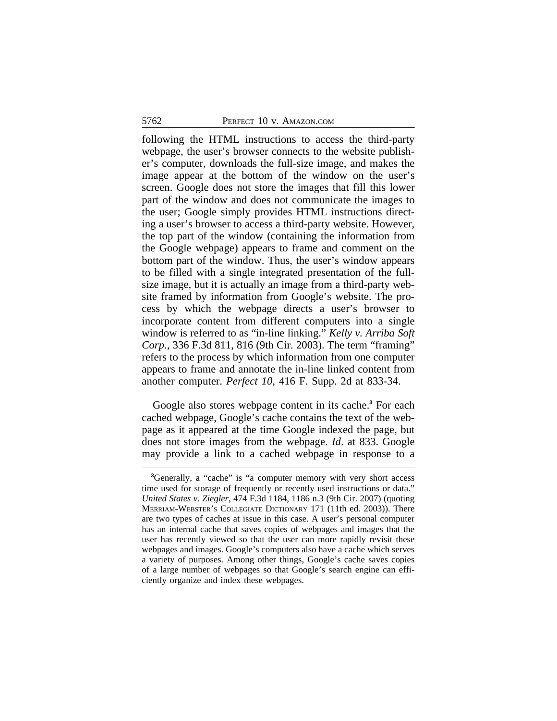following the HTML instructions to access the third-party webpage, the user's browser connects to the website publisher's computer, downloads the full-size image, and makes the image appear at the bottom of the window on the user's screen. Google does not store the images that fill this lower part of the window and does not communicate the images to the user; Google simply provides HTML instructions directing a user's browser to access a third-party website. However, the top part of the window (containing the information from the Google webpage) appears to frame and comment on the bottom part of the window. Thus, the user's window appears to be filled with a single integrated presentation of the fullsize image, but it is actually an image from a third-party website framed by information from Google's website. The process by which the webpage directs a user's browser to incorporate content from different computers into a single window is referred to as "in-line linking." *Kelly v. Arriba Soft Corp*., 336 F.3d 811, 816 (9th Cir. 2003). The term "framing" refers to the process by which information from one computer appears to frame and annotate the in-line linked content from another computer. *Perfect 10*, 416 F. Supp. 2d at 833-34.

Google also stores webpage content in its cache.**<sup>3</sup>** For each cached webpage, Google's cache contains the text of the webpage as it appeared at the time Google indexed the page, but does not store images from the webpage. *Id*. at 833. Google may provide a link to a cached webpage in response to a

<sup>&</sup>lt;sup>3</sup>Generally, a "cache" is "a computer memory with very short access time used for storage of frequently or recently used instructions or data." *United States v. Ziegler*, 474 F.3d 1184, 1186 n.3 (9th Cir. 2007) (quoting MERRIAM-WEBSTER'S COLLEGIATE DICTIONARY 171 (11th ed. 2003)). There are two types of caches at issue in this case. A user's personal computer has an internal cache that saves copies of webpages and images that the user has recently viewed so that the user can more rapidly revisit these webpages and images. Google's computers also have a cache which serves a variety of purposes. Among other things, Google's cache saves copies of a large number of webpages so that Google's search engine can efficiently organize and index these webpages.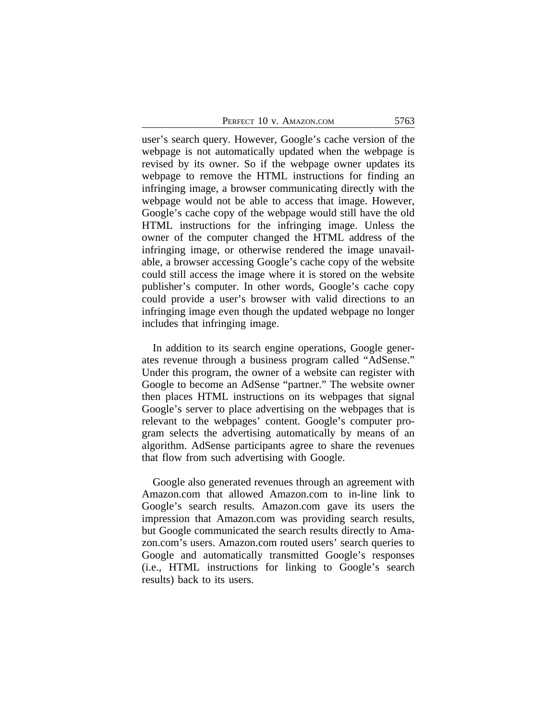| PERFECT 10 v. AMAZON.COM | 5763 |
|--------------------------|------|
|--------------------------|------|

user's search query. However, Google's cache version of the webpage is not automatically updated when the webpage is revised by its owner. So if the webpage owner updates its webpage to remove the HTML instructions for finding an infringing image, a browser communicating directly with the webpage would not be able to access that image. However, Google's cache copy of the webpage would still have the old HTML instructions for the infringing image. Unless the owner of the computer changed the HTML address of the infringing image, or otherwise rendered the image unavailable, a browser accessing Google's cache copy of the website could still access the image where it is stored on the website publisher's computer. In other words, Google's cache copy could provide a user's browser with valid directions to an infringing image even though the updated webpage no longer includes that infringing image.

In addition to its search engine operations, Google generates revenue through a business program called "AdSense." Under this program, the owner of a website can register with Google to become an AdSense "partner." The website owner then places HTML instructions on its webpages that signal Google's server to place advertising on the webpages that is relevant to the webpages' content. Google's computer program selects the advertising automatically by means of an algorithm. AdSense participants agree to share the revenues that flow from such advertising with Google.

Google also generated revenues through an agreement with Amazon.com that allowed Amazon.com to in-line link to Google's search results. Amazon.com gave its users the impression that Amazon.com was providing search results, but Google communicated the search results directly to Amazon.com's users. Amazon.com routed users' search queries to Google and automatically transmitted Google's responses (i.e., HTML instructions for linking to Google's search results) back to its users.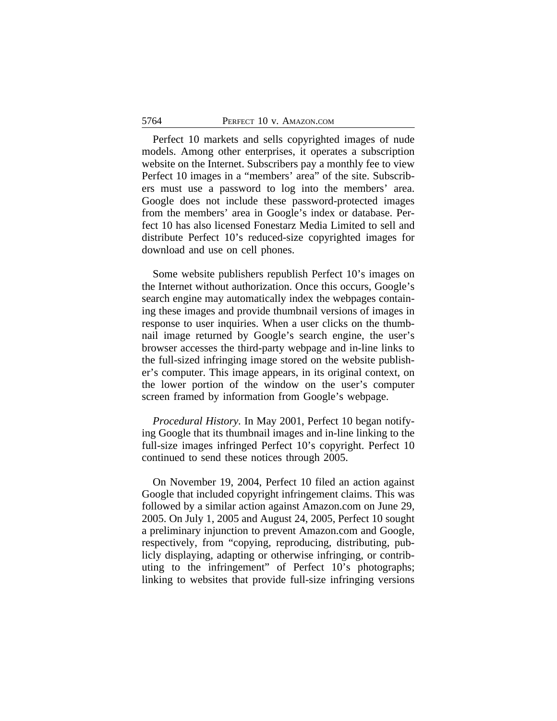Perfect 10 markets and sells copyrighted images of nude models. Among other enterprises, it operates a subscription website on the Internet. Subscribers pay a monthly fee to view Perfect 10 images in a "members' area" of the site. Subscribers must use a password to log into the members' area. Google does not include these password-protected images from the members' area in Google's index or database. Perfect 10 has also licensed Fonestarz Media Limited to sell and distribute Perfect 10's reduced-size copyrighted images for download and use on cell phones.

Some website publishers republish Perfect 10's images on the Internet without authorization. Once this occurs, Google's search engine may automatically index the webpages containing these images and provide thumbnail versions of images in response to user inquiries. When a user clicks on the thumbnail image returned by Google's search engine, the user's browser accesses the third-party webpage and in-line links to the full-sized infringing image stored on the website publisher's computer. This image appears, in its original context, on the lower portion of the window on the user's computer screen framed by information from Google's webpage.

*Procedural History.* In May 2001, Perfect 10 began notifying Google that its thumbnail images and in-line linking to the full-size images infringed Perfect 10's copyright. Perfect 10 continued to send these notices through 2005.

On November 19, 2004, Perfect 10 filed an action against Google that included copyright infringement claims. This was followed by a similar action against Amazon.com on June 29, 2005. On July 1, 2005 and August 24, 2005, Perfect 10 sought a preliminary injunction to prevent Amazon.com and Google, respectively, from "copying, reproducing, distributing, publicly displaying, adapting or otherwise infringing, or contributing to the infringement" of Perfect 10's photographs; linking to websites that provide full-size infringing versions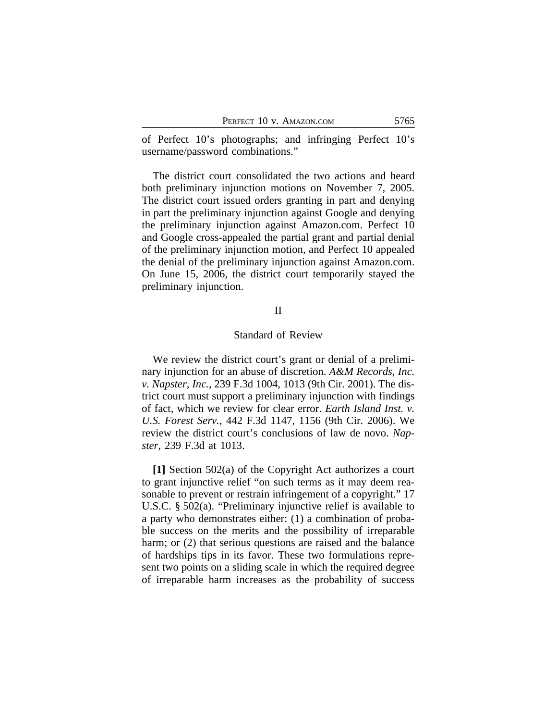of Perfect 10's photographs; and infringing Perfect 10's username/password combinations."

The district court consolidated the two actions and heard both preliminary injunction motions on November 7, 2005. The district court issued orders granting in part and denying in part the preliminary injunction against Google and denying the preliminary injunction against Amazon.com. Perfect 10 and Google cross-appealed the partial grant and partial denial of the preliminary injunction motion, and Perfect 10 appealed the denial of the preliminary injunction against Amazon.com. On June 15, 2006, the district court temporarily stayed the preliminary injunction.

# II

# Standard of Review

We review the district court's grant or denial of a preliminary injunction for an abuse of discretion. *A&M Records, Inc. v. Napster, Inc.*, 239 F.3d 1004, 1013 (9th Cir. 2001). The district court must support a preliminary injunction with findings of fact, which we review for clear error. *Earth Island Inst. v. U.S. Forest Serv.*, 442 F.3d 1147, 1156 (9th Cir. 2006). We review the district court's conclusions of law de novo. *Napster*, 239 F.3d at 1013.

**[1]** Section 502(a) of the Copyright Act authorizes a court to grant injunctive relief "on such terms as it may deem reasonable to prevent or restrain infringement of a copyright." 17 U.S.C. § 502(a). "Preliminary injunctive relief is available to a party who demonstrates either: (1) a combination of probable success on the merits and the possibility of irreparable harm; or  $(2)$  that serious questions are raised and the balance of hardships tips in its favor. These two formulations represent two points on a sliding scale in which the required degree of irreparable harm increases as the probability of success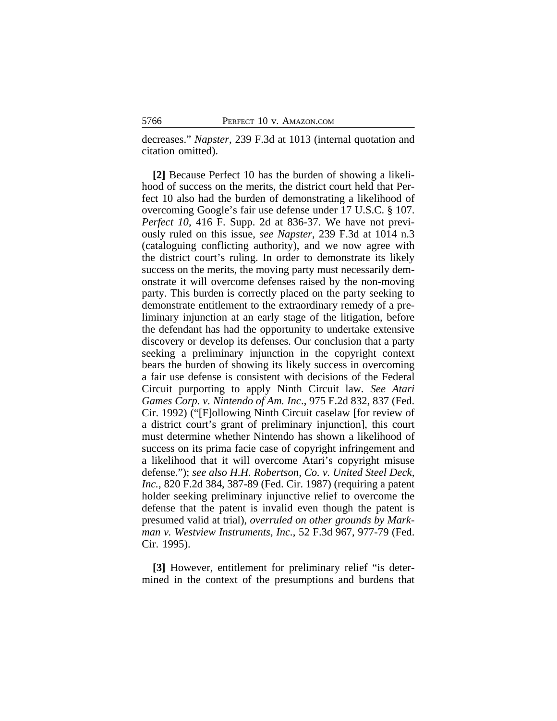decreases." *Napster*, 239 F.3d at 1013 (internal quotation and citation omitted).

**[2]** Because Perfect 10 has the burden of showing a likelihood of success on the merits, the district court held that Perfect 10 also had the burden of demonstrating a likelihood of overcoming Google's fair use defense under 17 U.S.C. § 107. *Perfect 10*, 416 F. Supp. 2d at 836-37. We have not previously ruled on this issue, *see Napster*, 239 F.3d at 1014 n.3 (cataloguing conflicting authority), and we now agree with the district court's ruling. In order to demonstrate its likely success on the merits, the moving party must necessarily demonstrate it will overcome defenses raised by the non-moving party. This burden is correctly placed on the party seeking to demonstrate entitlement to the extraordinary remedy of a preliminary injunction at an early stage of the litigation, before the defendant has had the opportunity to undertake extensive discovery or develop its defenses. Our conclusion that a party seeking a preliminary injunction in the copyright context bears the burden of showing its likely success in overcoming a fair use defense is consistent with decisions of the Federal Circuit purporting to apply Ninth Circuit law*. See Atari Games Corp. v. Nintendo of Am. Inc*., 975 F.2d 832, 837 (Fed. Cir. 1992) ("[F]ollowing Ninth Circuit caselaw [for review of a district court's grant of preliminary injunction], this court must determine whether Nintendo has shown a likelihood of success on its prima facie case of copyright infringement and a likelihood that it will overcome Atari's copyright misuse defense."); *see also H.H. Robertson, Co. v. United Steel Deck, Inc.*, 820 F.2d 384, 387-89 (Fed. Cir. 1987) (requiring a patent holder seeking preliminary injunctive relief to overcome the defense that the patent is invalid even though the patent is presumed valid at trial), *overruled on other grounds by Markman v. Westview Instruments, Inc.*, 52 F.3d 967, 977-79 (Fed. Cir. 1995).

**[3]** However, entitlement for preliminary relief "is determined in the context of the presumptions and burdens that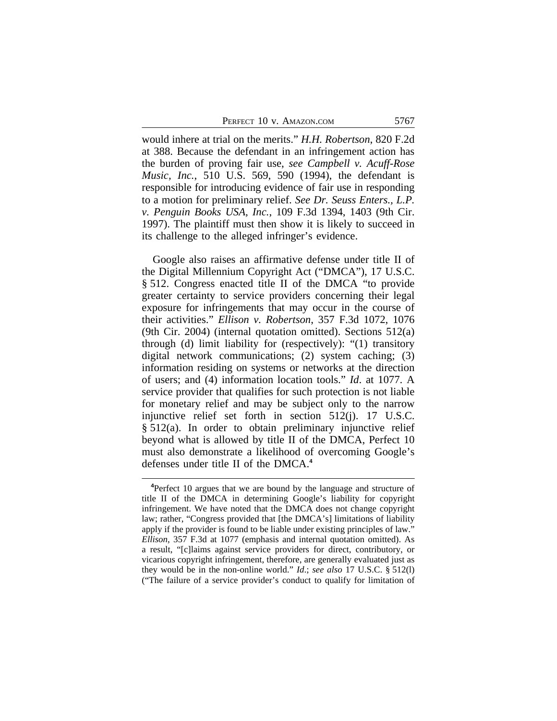PERFECT 10 v. AMAZON.COM 5767

would inhere at trial on the merits." *H.H. Robertson*, 820 F.2d at 388. Because the defendant in an infringement action has the burden of proving fair use, *see Campbell v. Acuff-Rose Music, Inc.*, 510 U.S. 569, 590 (1994), the defendant is responsible for introducing evidence of fair use in responding to a motion for preliminary relief. *See Dr. Seuss Enters., L.P. v. Penguin Books USA, Inc.*, 109 F.3d 1394, 1403 (9th Cir. 1997). The plaintiff must then show it is likely to succeed in its challenge to the alleged infringer's evidence.

Google also raises an affirmative defense under title II of the Digital Millennium Copyright Act ("DMCA"), 17 U.S.C. § 512. Congress enacted title II of the DMCA "to provide greater certainty to service providers concerning their legal exposure for infringements that may occur in the course of their activities." *Ellison v. Robertson*, 357 F.3d 1072, 1076 (9th Cir. 2004) (internal quotation omitted). Sections 512(a) through (d) limit liability for (respectively): "(1) transitory digital network communications; (2) system caching; (3) information residing on systems or networks at the direction of users; and (4) information location tools." *Id*. at 1077. A service provider that qualifies for such protection is not liable for monetary relief and may be subject only to the narrow injunctive relief set forth in section 512(j). 17 U.S.C. § 512(a). In order to obtain preliminary injunctive relief beyond what is allowed by title II of the DMCA, Perfect 10 must also demonstrate a likelihood of overcoming Google's defenses under title II of the DMCA.**<sup>4</sup>**

**<sup>4</sup>**Perfect 10 argues that we are bound by the language and structure of title II of the DMCA in determining Google's liability for copyright infringement. We have noted that the DMCA does not change copyright law; rather, "Congress provided that [the DMCA's] limitations of liability apply if the provider is found to be liable under existing principles of law." *Ellison*, 357 F.3d at 1077 (emphasis and internal quotation omitted). As a result, "[c]laims against service providers for direct, contributory, or vicarious copyright infringement, therefore, are generally evaluated just as they would be in the non-online world." *Id*.; *see also* 17 U.S.C. § 512(l) ("The failure of a service provider's conduct to qualify for limitation of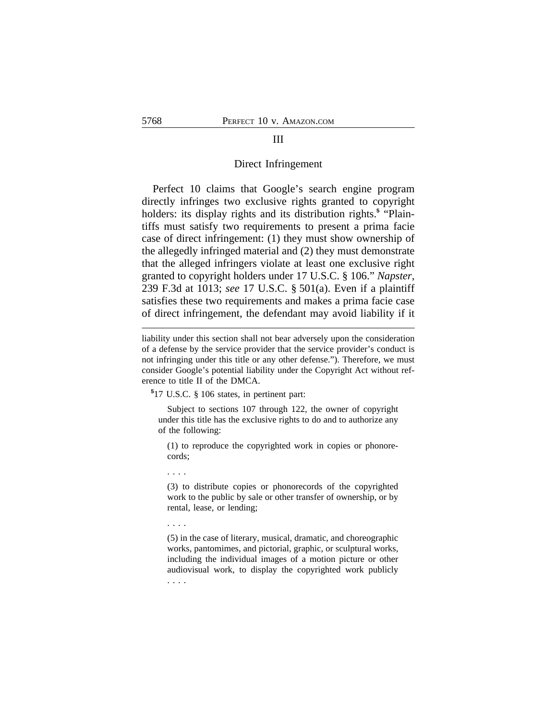#### III

#### Direct Infringement

Perfect 10 claims that Google's search engine program directly infringes two exclusive rights granted to copyright holders: its display rights and its distribution rights.**<sup>5</sup>** "Plaintiffs must satisfy two requirements to present a prima facie case of direct infringement: (1) they must show ownership of the allegedly infringed material and (2) they must demonstrate that the alleged infringers violate at least one exclusive right granted to copyright holders under 17 U.S.C. § 106." *Napster*, 239 F.3d at 1013; *see* 17 U.S.C. § 501(a). Even if a plaintiff satisfies these two requirements and makes a prima facie case of direct infringement, the defendant may avoid liability if it

**5** 17 U.S.C. § 106 states, in pertinent part:

Subject to sections 107 through 122, the owner of copyright under this title has the exclusive rights to do and to authorize any of the following:

(1) to reproduce the copyrighted work in copies or phonorecords;

. . . .

. . . .

(3) to distribute copies or phonorecords of the copyrighted work to the public by sale or other transfer of ownership, or by rental, lease, or lending;

(5) in the case of literary, musical, dramatic, and choreographic works, pantomimes, and pictorial, graphic, or sculptural works, including the individual images of a motion picture or other audiovisual work, to display the copyrighted work publicly . . . .

liability under this section shall not bear adversely upon the consideration of a defense by the service provider that the service provider's conduct is not infringing under this title or any other defense."). Therefore, we must consider Google's potential liability under the Copyright Act without reference to title II of the DMCA.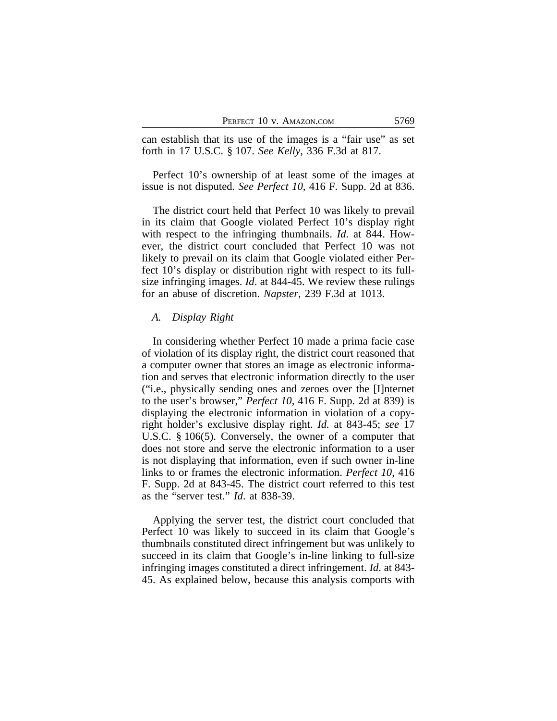can establish that its use of the images is a "fair use" as set forth in 17 U.S.C. § 107. *See Kelly*, 336 F.3d at 817.

Perfect 10's ownership of at least some of the images at issue is not disputed. *See Perfect 10*, 416 F. Supp. 2d at 836.

The district court held that Perfect 10 was likely to prevail in its claim that Google violated Perfect 10's display right with respect to the infringing thumbnails. *Id*. at 844. However, the district court concluded that Perfect 10 was not likely to prevail on its claim that Google violated either Perfect 10's display or distribution right with respect to its fullsize infringing images. *Id*. at 844-45. We review these rulings for an abuse of discretion. *Napster*, 239 F.3d at 1013.

#### *A. Display Right*

In considering whether Perfect 10 made a prima facie case of violation of its display right, the district court reasoned that a computer owner that stores an image as electronic information and serves that electronic information directly to the user ("i.e., physically sending ones and zeroes over the [I]nternet to the user's browser," *Perfect 10*, 416 F. Supp. 2d at 839) is displaying the electronic information in violation of a copyright holder's exclusive display right. *Id.* at 843-45; *see* 17 U.S.C. § 106(5). Conversely, the owner of a computer that does not store and serve the electronic information to a user is not displaying that information, even if such owner in-line links to or frames the electronic information. *Perfect 10*, 416 F. Supp. 2d at 843-45. The district court referred to this test as the "server test." *Id*. at 838-39.

Applying the server test, the district court concluded that Perfect 10 was likely to succeed in its claim that Google's thumbnails constituted direct infringement but was unlikely to succeed in its claim that Google's in-line linking to full-size infringing images constituted a direct infringement. *Id*. at 843- 45. As explained below, because this analysis comports with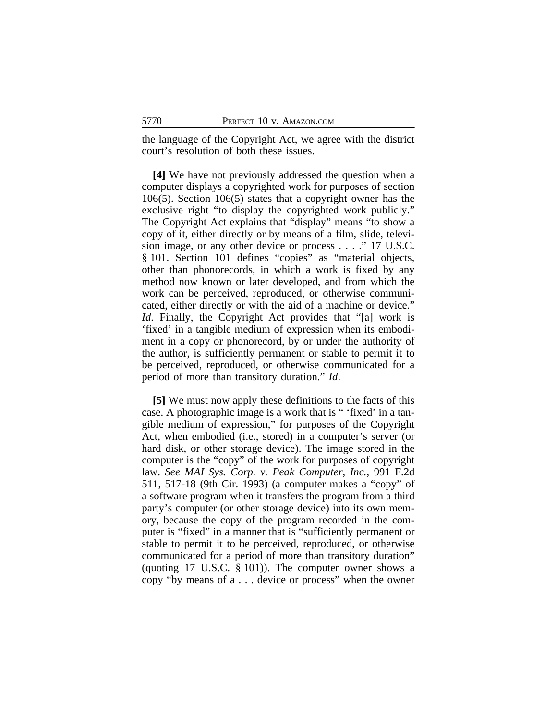the language of the Copyright Act, we agree with the district court's resolution of both these issues.

**[4]** We have not previously addressed the question when a computer displays a copyrighted work for purposes of section 106(5). Section 106(5) states that a copyright owner has the exclusive right "to display the copyrighted work publicly." The Copyright Act explains that "display" means "to show a copy of it, either directly or by means of a film, slide, television image, or any other device or process . . . ." 17 U.S.C. § 101. Section 101 defines "copies" as "material objects, other than phonorecords, in which a work is fixed by any method now known or later developed, and from which the work can be perceived, reproduced, or otherwise communicated, either directly or with the aid of a machine or device." *Id*. Finally, the Copyright Act provides that "[a] work is 'fixed' in a tangible medium of expression when its embodiment in a copy or phonorecord, by or under the authority of the author, is sufficiently permanent or stable to permit it to be perceived, reproduced, or otherwise communicated for a period of more than transitory duration." *Id*.

**[5]** We must now apply these definitions to the facts of this case. A photographic image is a work that is " 'fixed' in a tangible medium of expression," for purposes of the Copyright Act, when embodied (i.e., stored) in a computer's server (or hard disk, or other storage device). The image stored in the computer is the "copy" of the work for purposes of copyright law. *See MAI Sys. Corp. v. Peak Computer, Inc.*, 991 F.2d 511, 517-18 (9th Cir. 1993) (a computer makes a "copy" of a software program when it transfers the program from a third party's computer (or other storage device) into its own memory, because the copy of the program recorded in the computer is "fixed" in a manner that is "sufficiently permanent or stable to permit it to be perceived, reproduced, or otherwise communicated for a period of more than transitory duration" (quoting 17 U.S.C. § 101)). The computer owner shows a copy "by means of a . . . device or process" when the owner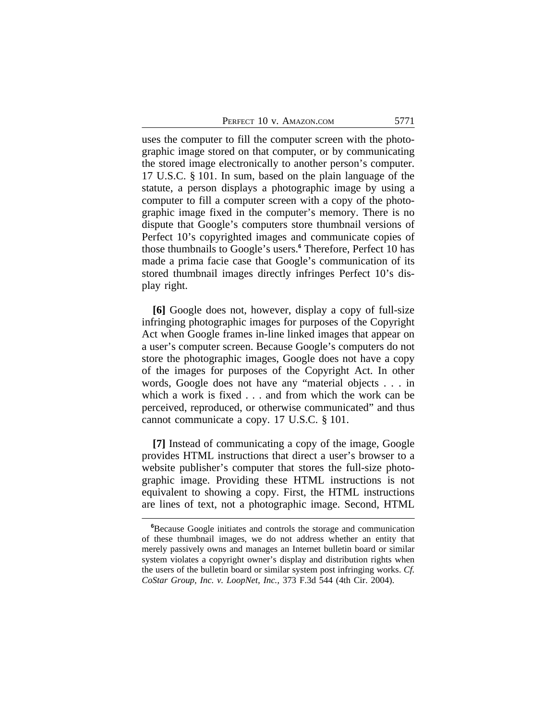PERFECT 10 v. AMAZON.COM 5771

uses the computer to fill the computer screen with the photographic image stored on that computer, or by communicating the stored image electronically to another person's computer. 17 U.S.C. § 101. In sum, based on the plain language of the statute, a person displays a photographic image by using a computer to fill a computer screen with a copy of the photographic image fixed in the computer's memory. There is no dispute that Google's computers store thumbnail versions of Perfect 10's copyrighted images and communicate copies of those thumbnails to Google's users.**<sup>6</sup>** Therefore, Perfect 10 has made a prima facie case that Google's communication of its stored thumbnail images directly infringes Perfect 10's display right.

**[6]** Google does not, however, display a copy of full-size infringing photographic images for purposes of the Copyright Act when Google frames in-line linked images that appear on a user's computer screen. Because Google's computers do not store the photographic images, Google does not have a copy of the images for purposes of the Copyright Act. In other words, Google does not have any "material objects . . . in which a work is fixed . . . and from which the work can be perceived, reproduced, or otherwise communicated" and thus cannot communicate a copy. 17 U.S.C. § 101.

**[7]** Instead of communicating a copy of the image, Google provides HTML instructions that direct a user's browser to a website publisher's computer that stores the full-size photographic image. Providing these HTML instructions is not equivalent to showing a copy. First, the HTML instructions are lines of text, not a photographic image. Second, HTML

**<sup>6</sup>**Because Google initiates and controls the storage and communication of these thumbnail images, we do not address whether an entity that merely passively owns and manages an Internet bulletin board or similar system violates a copyright owner's display and distribution rights when the users of the bulletin board or similar system post infringing works. *Cf. CoStar Group, Inc. v. LoopNet, Inc.,* 373 F.3d 544 (4th Cir. 2004).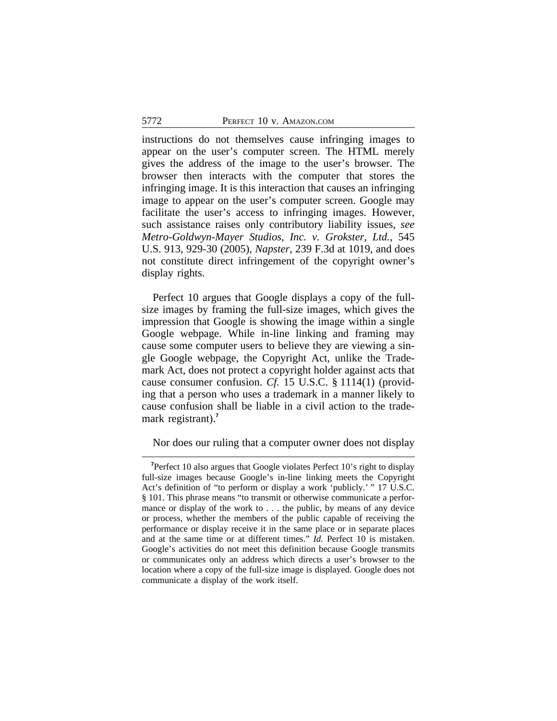instructions do not themselves cause infringing images to appear on the user's computer screen. The HTML merely gives the address of the image to the user's browser. The browser then interacts with the computer that stores the infringing image. It is this interaction that causes an infringing image to appear on the user's computer screen. Google may facilitate the user's access to infringing images. However, such assistance raises only contributory liability issues, *see Metro-Goldwyn-Mayer Studios, Inc. v. Grokster, Ltd.*, 545 U.S. 913, 929-30 (2005), *Napster,* 239 F.3d at 1019, and does not constitute direct infringement of the copyright owner's display rights.

Perfect 10 argues that Google displays a copy of the fullsize images by framing the full-size images, which gives the impression that Google is showing the image within a single Google webpage. While in-line linking and framing may cause some computer users to believe they are viewing a single Google webpage, the Copyright Act, unlike the Trademark Act, does not protect a copyright holder against acts that cause consumer confusion. *Cf.* 15 U.S.C. § 1114(1) (providing that a person who uses a trademark in a manner likely to cause confusion shall be liable in a civil action to the trademark registrant).**<sup>7</sup>**

Nor does our ruling that a computer owner does not display

<sup>&</sup>lt;sup>7</sup>Perfect 10 also argues that Google violates Perfect 10's right to display full-size images because Google's in-line linking meets the Copyright Act's definition of "to perform or display a work 'publicly.' " 17 U.S.C. § 101. This phrase means "to transmit or otherwise communicate a performance or display of the work to . . . the public, by means of any device or process, whether the members of the public capable of receiving the performance or display receive it in the same place or in separate places and at the same time or at different times." *Id.* Perfect 10 is mistaken. Google's activities do not meet this definition because Google transmits or communicates only an address which directs a user's browser to the location where a copy of the full-size image is displayed. Google does not communicate a display of the work itself.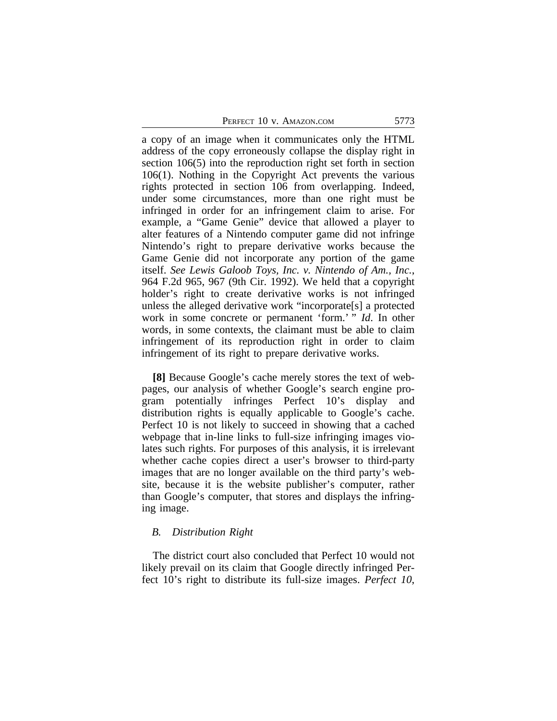PERFECT 10 v. AMAZON.COM 5773

a copy of an image when it communicates only the HTML address of the copy erroneously collapse the display right in section 106(5) into the reproduction right set forth in section 106(1). Nothing in the Copyright Act prevents the various rights protected in section 106 from overlapping. Indeed, under some circumstances, more than one right must be infringed in order for an infringement claim to arise. For example, a "Game Genie" device that allowed a player to alter features of a Nintendo computer game did not infringe Nintendo's right to prepare derivative works because the Game Genie did not incorporate any portion of the game itself. *See Lewis Galoob Toys, Inc. v. Nintendo of Am., Inc.*, 964 F.2d 965, 967 (9th Cir. 1992). We held that a copyright holder's right to create derivative works is not infringed unless the alleged derivative work "incorporate[s] a protected work in some concrete or permanent 'form.' " *Id*. In other words, in some contexts, the claimant must be able to claim infringement of its reproduction right in order to claim infringement of its right to prepare derivative works.

**[8]** Because Google's cache merely stores the text of webpages, our analysis of whether Google's search engine program potentially infringes Perfect 10's display and distribution rights is equally applicable to Google's cache. Perfect 10 is not likely to succeed in showing that a cached webpage that in-line links to full-size infringing images violates such rights. For purposes of this analysis, it is irrelevant whether cache copies direct a user's browser to third-party images that are no longer available on the third party's website, because it is the website publisher's computer, rather than Google's computer, that stores and displays the infringing image.

### *B. Distribution Right*

The district court also concluded that Perfect 10 would not likely prevail on its claim that Google directly infringed Perfect 10's right to distribute its full-size images. *Perfect 10*,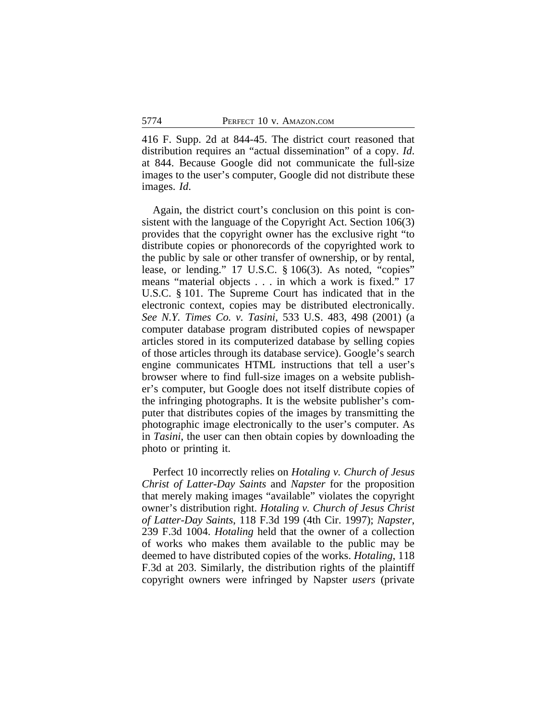416 F. Supp. 2d at 844-45. The district court reasoned that distribution requires an "actual dissemination" of a copy. *Id*. at 844. Because Google did not communicate the full-size images to the user's computer, Google did not distribute these images. *Id*.

Again, the district court's conclusion on this point is consistent with the language of the Copyright Act. Section 106(3) provides that the copyright owner has the exclusive right "to distribute copies or phonorecords of the copyrighted work to the public by sale or other transfer of ownership, or by rental, lease, or lending." 17 U.S.C. § 106(3). As noted, "copies" means "material objects . . . in which a work is fixed." 17 U.S.C. § 101. The Supreme Court has indicated that in the electronic context, copies may be distributed electronically. *See N.Y. Times Co. v. Tasini,* 533 U.S. 483, 498 (2001) (a computer database program distributed copies of newspaper articles stored in its computerized database by selling copies of those articles through its database service). Google's search engine communicates HTML instructions that tell a user's browser where to find full-size images on a website publisher's computer, but Google does not itself distribute copies of the infringing photographs. It is the website publisher's computer that distributes copies of the images by transmitting the photographic image electronically to the user's computer. As in *Tasini*, the user can then obtain copies by downloading the photo or printing it.

Perfect 10 incorrectly relies on *Hotaling v. Church of Jesus Christ of Latter-Day Saints* and *Napster* for the proposition that merely making images "available" violates the copyright owner's distribution right. *Hotaling v. Church of Jesus Christ of Latter-Day Saints*, 118 F.3d 199 (4th Cir. 1997); *Napster*, 239 F.3d 1004. *Hotaling* held that the owner of a collection of works who makes them available to the public may be deemed to have distributed copies of the works. *Hotaling*, 118 F.3d at 203. Similarly, the distribution rights of the plaintiff copyright owners were infringed by Napster *users* (private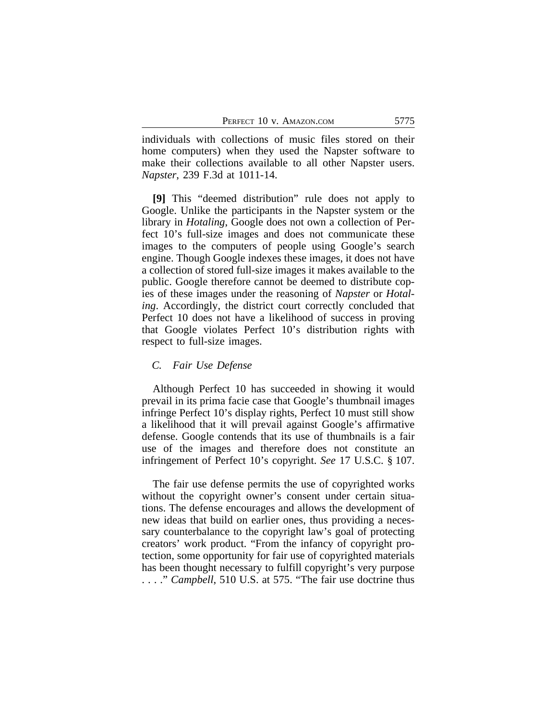individuals with collections of music files stored on their home computers) when they used the Napster software to make their collections available to all other Napster users. *Napster*, 239 F.3d at 1011-14.

**[9]** This "deemed distribution" rule does not apply to Google. Unlike the participants in the Napster system or the library in *Hotaling*, Google does not own a collection of Perfect 10's full-size images and does not communicate these images to the computers of people using Google's search engine. Though Google indexes these images, it does not have a collection of stored full-size images it makes available to the public. Google therefore cannot be deemed to distribute copies of these images under the reasoning of *Napster* or *Hotaling*. Accordingly, the district court correctly concluded that Perfect 10 does not have a likelihood of success in proving that Google violates Perfect 10's distribution rights with respect to full-size images.

#### *C. Fair Use Defense*

Although Perfect 10 has succeeded in showing it would prevail in its prima facie case that Google's thumbnail images infringe Perfect 10's display rights, Perfect 10 must still show a likelihood that it will prevail against Google's affirmative defense. Google contends that its use of thumbnails is a fair use of the images and therefore does not constitute an infringement of Perfect 10's copyright. *See* 17 U.S.C. § 107.

The fair use defense permits the use of copyrighted works without the copyright owner's consent under certain situations. The defense encourages and allows the development of new ideas that build on earlier ones, thus providing a necessary counterbalance to the copyright law's goal of protecting creators' work product. "From the infancy of copyright protection, some opportunity for fair use of copyrighted materials has been thought necessary to fulfill copyright's very purpose . . . ." *Campbell*, 510 U.S. at 575. "The fair use doctrine thus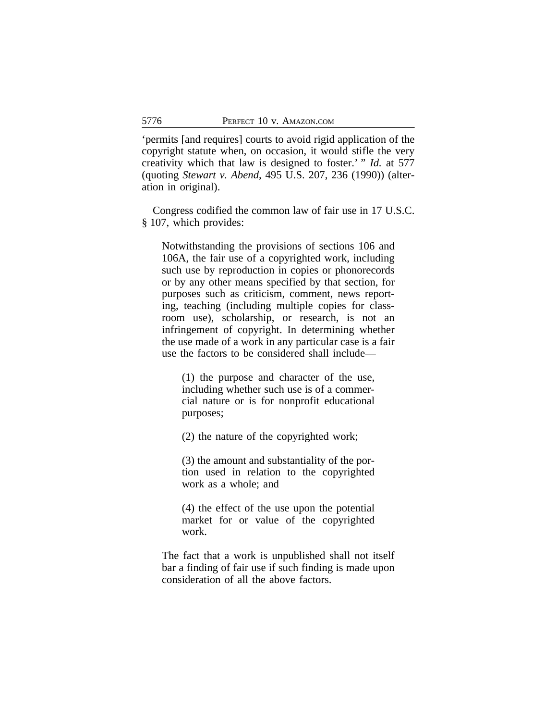'permits [and requires] courts to avoid rigid application of the copyright statute when, on occasion, it would stifle the very creativity which that law is designed to foster.' " *Id.* at 577 (quoting *Stewart v. Abend*, 495 U.S. 207, 236 (1990)) (alteration in original).

Congress codified the common law of fair use in 17 U.S.C. § 107, which provides:

Notwithstanding the provisions of sections 106 and 106A, the fair use of a copyrighted work, including such use by reproduction in copies or phonorecords or by any other means specified by that section, for purposes such as criticism, comment, news reporting, teaching (including multiple copies for classroom use), scholarship, or research, is not an infringement of copyright. In determining whether the use made of a work in any particular case is a fair use the factors to be considered shall include—

(1) the purpose and character of the use, including whether such use is of a commercial nature or is for nonprofit educational purposes;

(2) the nature of the copyrighted work;

(3) the amount and substantiality of the portion used in relation to the copyrighted work as a whole; and

(4) the effect of the use upon the potential market for or value of the copyrighted work.

The fact that a work is unpublished shall not itself bar a finding of fair use if such finding is made upon consideration of all the above factors.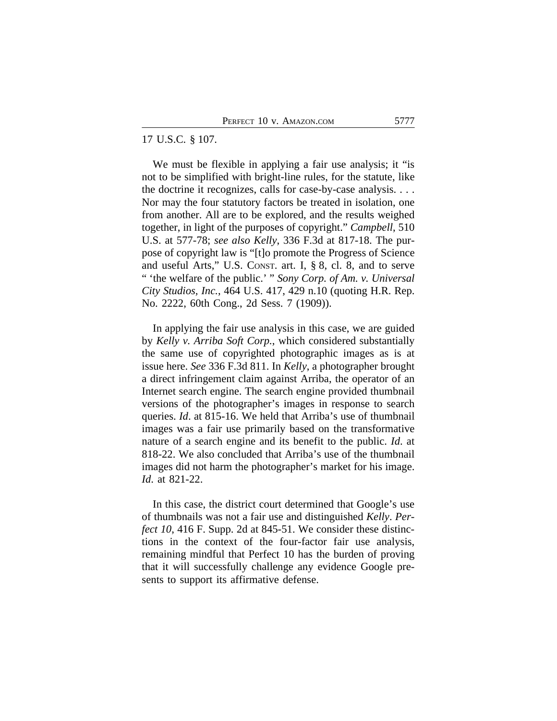#### 17 U.S.C. § 107.

We must be flexible in applying a fair use analysis; it "is not to be simplified with bright-line rules, for the statute, like the doctrine it recognizes, calls for case-by-case analysis. . . . Nor may the four statutory factors be treated in isolation, one from another. All are to be explored, and the results weighed together, in light of the purposes of copyright." *Campbell*, 510 U.S. at 577-78; *see also Kelly*, 336 F.3d at 817-18. The purpose of copyright law is "[t]o promote the Progress of Science and useful Arts," U.S. CONST. art. I, § 8, cl. 8, and to serve " 'the welfare of the public.' " *Sony Corp. of Am. v. Universal City Studios, Inc.*, 464 U.S. 417, 429 n.10 (quoting H.R. Rep. No. 2222, 60th Cong., 2d Sess. 7 (1909)).

In applying the fair use analysis in this case, we are guided by *Kelly v. Arriba Soft Corp.*, which considered substantially the same use of copyrighted photographic images as is at issue here. *See* 336 F.3d 811. In *Kelly*, a photographer brought a direct infringement claim against Arriba, the operator of an Internet search engine. The search engine provided thumbnail versions of the photographer's images in response to search queries. *Id*. at 815-16. We held that Arriba's use of thumbnail images was a fair use primarily based on the transformative nature of a search engine and its benefit to the public. *Id*. at 818-22. We also concluded that Arriba's use of the thumbnail images did not harm the photographer's market for his image. *Id*. at 821-22.

In this case, the district court determined that Google's use of thumbnails was not a fair use and distinguished *Kelly*. *Perfect 10*, 416 F. Supp. 2d at 845-51. We consider these distinctions in the context of the four-factor fair use analysis, remaining mindful that Perfect 10 has the burden of proving that it will successfully challenge any evidence Google presents to support its affirmative defense.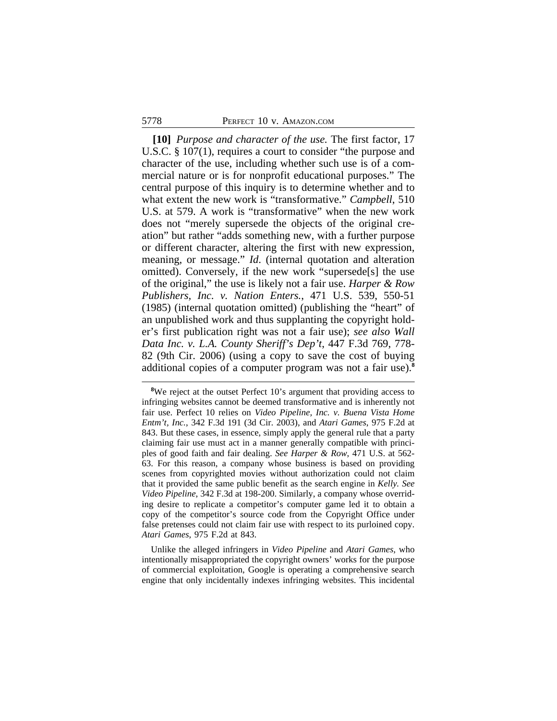**[10]** *Purpose and character of the use.* The first factor, 17 U.S.C. § 107(1), requires a court to consider "the purpose and character of the use, including whether such use is of a commercial nature or is for nonprofit educational purposes." The central purpose of this inquiry is to determine whether and to what extent the new work is "transformative." *Campbell*, 510 U.S. at 579. A work is "transformative" when the new work does not "merely supersede the objects of the original creation" but rather "adds something new, with a further purpose or different character, altering the first with new expression, meaning, or message." *Id*. (internal quotation and alteration omitted). Conversely, if the new work "supersede[s] the use of the original," the use is likely not a fair use. *Harper & Row Publishers, Inc. v. Nation Enters.*, 471 U.S. 539, 550-51 (1985) (internal quotation omitted) (publishing the "heart" of an unpublished work and thus supplanting the copyright holder's first publication right was not a fair use); *see also Wall Data Inc. v. L.A. County Sheriff's Dep't*, 447 F.3d 769, 778- 82 (9th Cir. 2006) (using a copy to save the cost of buying additional copies of a computer program was not a fair use).**<sup>8</sup>**

Unlike the alleged infringers in *Video Pipeline* and *Atari Games*, who intentionally misappropriated the copyright owners' works for the purpose of commercial exploitation, Google is operating a comprehensive search engine that only incidentally indexes infringing websites. This incidental

<sup>&</sup>lt;sup>8</sup>We reject at the outset Perfect 10's argument that providing access to infringing websites cannot be deemed transformative and is inherently not fair use. Perfect 10 relies on *Video Pipeline, Inc. v. Buena Vista Home Entm't, Inc.*, 342 F.3d 191 (3d Cir. 2003), and *Atari Games*, 975 F.2d at 843. But these cases, in essence, simply apply the general rule that a party claiming fair use must act in a manner generally compatible with principles of good faith and fair dealing. *See Harper & Row*, 471 U.S. at 562- 63. For this reason, a company whose business is based on providing scenes from copyrighted movies without authorization could not claim that it provided the same public benefit as the search engine in *Kelly. See Video Pipeline*, 342 F.3d at 198-200. Similarly, a company whose overriding desire to replicate a competitor's computer game led it to obtain a copy of the competitor's source code from the Copyright Office under false pretenses could not claim fair use with respect to its purloined copy. *Atari Games*, 975 F.2d at 843.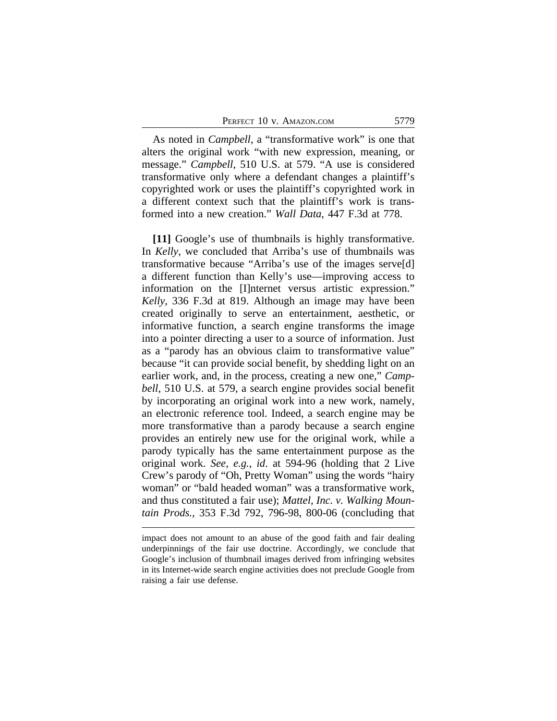|  | PERFECT 10 v. AMAZON.COM | 5779 |
|--|--------------------------|------|
|--|--------------------------|------|

As noted in *Campbell*, a "transformative work" is one that alters the original work "with new expression, meaning, or message." *Campbell*, 510 U.S. at 579. "A use is considered transformative only where a defendant changes a plaintiff's copyrighted work or uses the plaintiff's copyrighted work in a different context such that the plaintiff's work is transformed into a new creation." *Wall Data*, 447 F.3d at 778.

**[11]** Google's use of thumbnails is highly transformative. In *Kelly*, we concluded that Arriba's use of thumbnails was transformative because "Arriba's use of the images serve[d] a different function than Kelly's use—improving access to information on the [I]nternet versus artistic expression." *Kelly*, 336 F.3d at 819. Although an image may have been created originally to serve an entertainment, aesthetic, or informative function, a search engine transforms the image into a pointer directing a user to a source of information. Just as a "parody has an obvious claim to transformative value" because "it can provide social benefit, by shedding light on an earlier work, and, in the process, creating a new one," *Campbell*, 510 U.S. at 579, a search engine provides social benefit by incorporating an original work into a new work, namely, an electronic reference tool. Indeed, a search engine may be more transformative than a parody because a search engine provides an entirely new use for the original work, while a parody typically has the same entertainment purpose as the original work. *See, e.g.*, *id*. at 594-96 (holding that 2 Live Crew's parody of "Oh, Pretty Woman" using the words "hairy woman" or "bald headed woman" was a transformative work, and thus constituted a fair use); *Mattel, Inc. v. Walking Mountain Prods.*, 353 F.3d 792, 796-98, 800-06 (concluding that

impact does not amount to an abuse of the good faith and fair dealing underpinnings of the fair use doctrine. Accordingly, we conclude that Google's inclusion of thumbnail images derived from infringing websites in its Internet-wide search engine activities does not preclude Google from raising a fair use defense.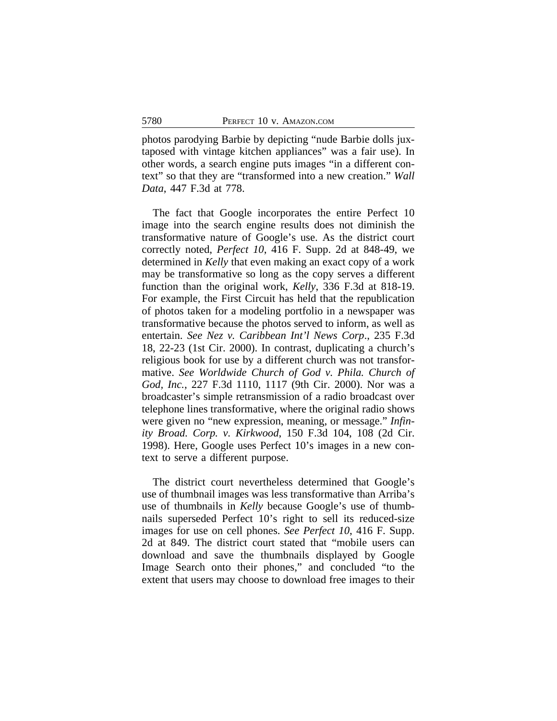photos parodying Barbie by depicting "nude Barbie dolls juxtaposed with vintage kitchen appliances" was a fair use). In other words, a search engine puts images "in a different context" so that they are "transformed into a new creation." *Wall Data*, 447 F.3d at 778.

The fact that Google incorporates the entire Perfect 10 image into the search engine results does not diminish the transformative nature of Google's use. As the district court correctly noted, *Perfect 10*, 416 F. Supp. 2d at 848-49, we determined in *Kelly* that even making an exact copy of a work may be transformative so long as the copy serves a different function than the original work, *Kelly*, 336 F.3d at 818-19. For example, the First Circuit has held that the republication of photos taken for a modeling portfolio in a newspaper was transformative because the photos served to inform, as well as entertain. *See Nez v. Caribbean Int'l News Corp*., 235 F.3d 18, 22-23 (1st Cir. 2000). In contrast, duplicating a church's religious book for use by a different church was not transformative. *See Worldwide Church of God v. Phila. Church of God, Inc.*, 227 F.3d 1110, 1117 (9th Cir. 2000). Nor was a broadcaster's simple retransmission of a radio broadcast over telephone lines transformative, where the original radio shows were given no "new expression, meaning, or message." *Infinity Broad. Corp. v. Kirkwood*, 150 F.3d 104, 108 (2d Cir. 1998). Here, Google uses Perfect 10's images in a new context to serve a different purpose.

The district court nevertheless determined that Google's use of thumbnail images was less transformative than Arriba's use of thumbnails in *Kelly* because Google's use of thumbnails superseded Perfect 10's right to sell its reduced-size images for use on cell phones. *See Perfect 10*, 416 F. Supp. 2d at 849. The district court stated that "mobile users can download and save the thumbnails displayed by Google Image Search onto their phones," and concluded "to the extent that users may choose to download free images to their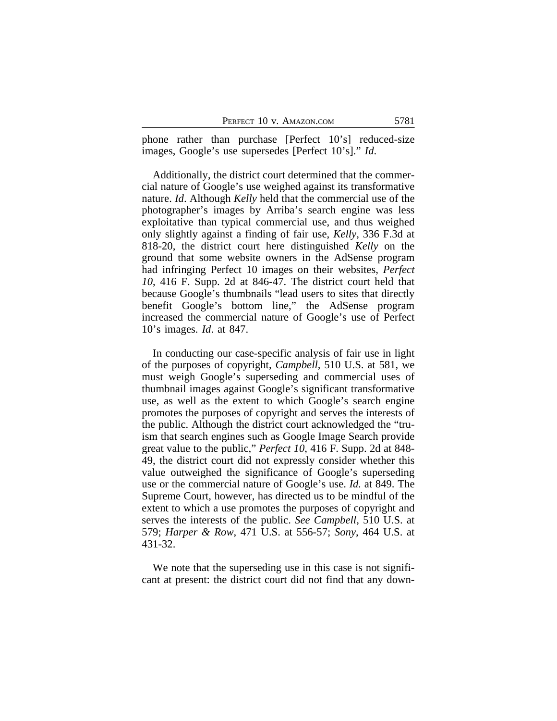phone rather than purchase [Perfect 10's] reduced-size images, Google's use supersedes [Perfect 10's]." *Id*.

Additionally, the district court determined that the commercial nature of Google's use weighed against its transformative nature. *Id*. Although *Kelly* held that the commercial use of the photographer's images by Arriba's search engine was less exploitative than typical commercial use, and thus weighed only slightly against a finding of fair use, *Kelly*, 336 F.3d at 818-20, the district court here distinguished *Kelly* on the ground that some website owners in the AdSense program had infringing Perfect 10 images on their websites, *Perfect 10*, 416 F. Supp. 2d at 846-47. The district court held that because Google's thumbnails "lead users to sites that directly benefit Google's bottom line," the AdSense program increased the commercial nature of Google's use of Perfect 10's images. *Id*. at 847.

In conducting our case-specific analysis of fair use in light of the purposes of copyright, *Campbell,* 510 U.S. at 581, we must weigh Google's superseding and commercial uses of thumbnail images against Google's significant transformative use, as well as the extent to which Google's search engine promotes the purposes of copyright and serves the interests of the public. Although the district court acknowledged the "truism that search engines such as Google Image Search provide great value to the public," *Perfect 10*, 416 F. Supp. 2d at 848- 49, the district court did not expressly consider whether this value outweighed the significance of Google's superseding use or the commercial nature of Google's use. *Id.* at 849. The Supreme Court, however, has directed us to be mindful of the extent to which a use promotes the purposes of copyright and serves the interests of the public. *See Campbell*, 510 U.S. at 579; *Harper & Row*, 471 U.S. at 556-57; *Sony*, 464 U.S. at 431-32.

We note that the superseding use in this case is not significant at present: the district court did not find that any down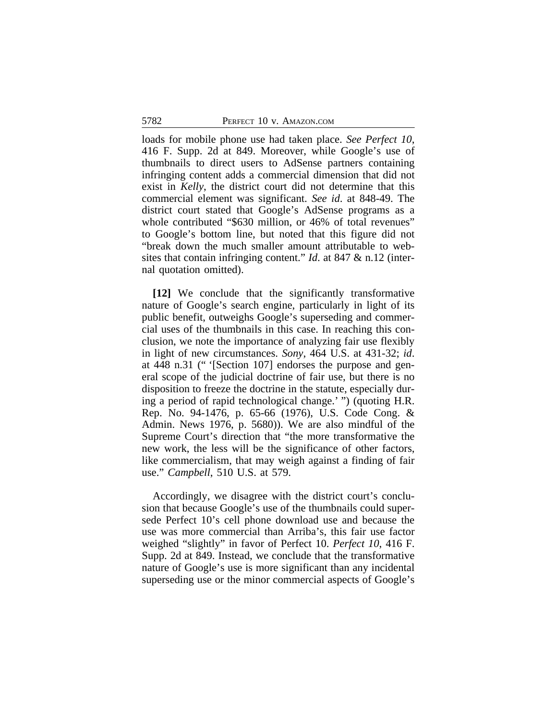loads for mobile phone use had taken place. *See Perfect 10*, 416 F. Supp. 2d at 849. Moreover, while Google's use of thumbnails to direct users to AdSense partners containing infringing content adds a commercial dimension that did not exist in *Kelly*, the district court did not determine that this commercial element was significant. *See id*. at 848-49. The district court stated that Google's AdSense programs as a whole contributed "\$630 million, or 46% of total revenues" to Google's bottom line, but noted that this figure did not "break down the much smaller amount attributable to websites that contain infringing content." *Id*. at 847 & n.12 (internal quotation omitted).

**[12]** We conclude that the significantly transformative nature of Google's search engine, particularly in light of its public benefit, outweighs Google's superseding and commercial uses of the thumbnails in this case. In reaching this conclusion, we note the importance of analyzing fair use flexibly in light of new circumstances. *Sony*, 464 U.S. at 431-32; *id*. at 448 n.31 (" '[Section 107] endorses the purpose and general scope of the judicial doctrine of fair use, but there is no disposition to freeze the doctrine in the statute, especially during a period of rapid technological change.' ") (quoting H.R. Rep. No. 94-1476, p. 65-66 (1976), U.S. Code Cong. & Admin. News 1976, p. 5680)). We are also mindful of the Supreme Court's direction that "the more transformative the new work, the less will be the significance of other factors, like commercialism, that may weigh against a finding of fair use." *Campbell*, 510 U.S. at 579.

Accordingly, we disagree with the district court's conclusion that because Google's use of the thumbnails could supersede Perfect 10's cell phone download use and because the use was more commercial than Arriba's, this fair use factor weighed "slightly" in favor of Perfect 10. *Perfect 10*, 416 F. Supp. 2d at 849. Instead, we conclude that the transformative nature of Google's use is more significant than any incidental superseding use or the minor commercial aspects of Google's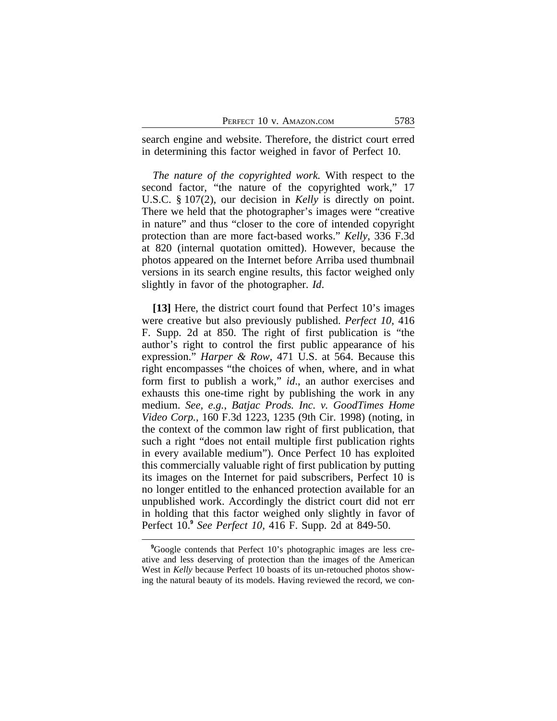search engine and website. Therefore, the district court erred in determining this factor weighed in favor of Perfect 10.

*The nature of the copyrighted work.* With respect to the second factor, "the nature of the copyrighted work," 17 U.S.C. § 107(2), our decision in *Kelly* is directly on point. There we held that the photographer's images were "creative in nature" and thus "closer to the core of intended copyright protection than are more fact-based works." *Kelly*, 336 F.3d at 820 (internal quotation omitted). However, because the photos appeared on the Internet before Arriba used thumbnail versions in its search engine results, this factor weighed only slightly in favor of the photographer. *Id*.

**[13]** Here, the district court found that Perfect 10's images were creative but also previously published. *Perfect 10*, 416 F. Supp. 2d at 850. The right of first publication is "the author's right to control the first public appearance of his expression." *Harper & Row*, 471 U.S. at 564. Because this right encompasses "the choices of when, where, and in what form first to publish a work," *id*., an author exercises and exhausts this one-time right by publishing the work in any medium. *See, e.g.*, *Batjac Prods. Inc. v. GoodTimes Home Video Corp.*, 160 F.3d 1223, 1235 (9th Cir. 1998) (noting, in the context of the common law right of first publication, that such a right "does not entail multiple first publication rights in every available medium"). Once Perfect 10 has exploited this commercially valuable right of first publication by putting its images on the Internet for paid subscribers, Perfect 10 is no longer entitled to the enhanced protection available for an unpublished work. Accordingly the district court did not err in holding that this factor weighed only slightly in favor of Perfect 10.**<sup>9</sup>** *See Perfect 10*, 416 F. Supp. 2d at 849-50.

<sup>&</sup>lt;sup>9</sup>Google contends that Perfect 10's photographic images are less creative and less deserving of protection than the images of the American West in *Kelly* because Perfect 10 boasts of its un-retouched photos showing the natural beauty of its models. Having reviewed the record, we con-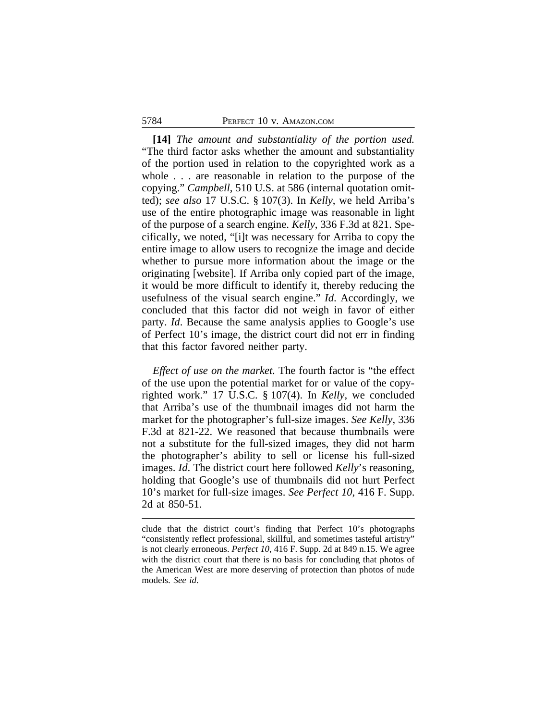**[14]** *The amount and substantiality of the portion used.* "The third factor asks whether the amount and substantiality of the portion used in relation to the copyrighted work as a whole . . . are reasonable in relation to the purpose of the copying." *Campbell*, 510 U.S. at 586 (internal quotation omitted); *see also* 17 U.S.C. § 107(3). In *Kelly*, we held Arriba's use of the entire photographic image was reasonable in light of the purpose of a search engine. *Kelly*, 336 F.3d at 821. Specifically, we noted, "[i]t was necessary for Arriba to copy the entire image to allow users to recognize the image and decide whether to pursue more information about the image or the originating [website]. If Arriba only copied part of the image, it would be more difficult to identify it, thereby reducing the usefulness of the visual search engine." *Id*. Accordingly, we concluded that this factor did not weigh in favor of either party. *Id*. Because the same analysis applies to Google's use of Perfect 10's image, the district court did not err in finding that this factor favored neither party.

*Effect of use on the market.* The fourth factor is "the effect of the use upon the potential market for or value of the copyrighted work." 17 U.S.C. § 107(4). In *Kelly*, we concluded that Arriba's use of the thumbnail images did not harm the market for the photographer's full-size images. *See Kelly*, 336 F.3d at 821-22. We reasoned that because thumbnails were not a substitute for the full-sized images, they did not harm the photographer's ability to sell or license his full-sized images. *Id*. The district court here followed *Kelly*'s reasoning, holding that Google's use of thumbnails did not hurt Perfect 10's market for full-size images. *See Perfect 10*, 416 F. Supp. 2d at 850-51.

clude that the district court's finding that Perfect 10's photographs "consistently reflect professional, skillful, and sometimes tasteful artistry" is not clearly erroneous. *Perfect 10*, 416 F. Supp. 2d at 849 n.15. We agree with the district court that there is no basis for concluding that photos of the American West are more deserving of protection than photos of nude models. *See id*.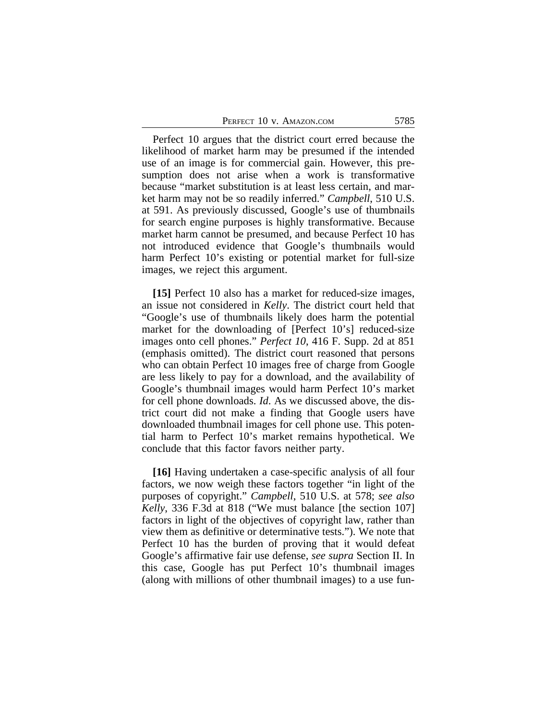Perfect 10 argues that the district court erred because the likelihood of market harm may be presumed if the intended use of an image is for commercial gain. However, this presumption does not arise when a work is transformative because "market substitution is at least less certain, and market harm may not be so readily inferred." *Campbell*, 510 U.S. at 591. As previously discussed, Google's use of thumbnails for search engine purposes is highly transformative. Because market harm cannot be presumed, and because Perfect 10 has not introduced evidence that Google's thumbnails would harm Perfect 10's existing or potential market for full-size images, we reject this argument.

**[15]** Perfect 10 also has a market for reduced-size images, an issue not considered in *Kelly*. The district court held that "Google's use of thumbnails likely does harm the potential market for the downloading of [Perfect 10's] reduced-size images onto cell phones." *Perfect 10*, 416 F. Supp. 2d at 851 (emphasis omitted). The district court reasoned that persons who can obtain Perfect 10 images free of charge from Google are less likely to pay for a download, and the availability of Google's thumbnail images would harm Perfect 10's market for cell phone downloads. *Id*. As we discussed above, the district court did not make a finding that Google users have downloaded thumbnail images for cell phone use. This potential harm to Perfect 10's market remains hypothetical. We conclude that this factor favors neither party.

**[16]** Having undertaken a case-specific analysis of all four factors, we now weigh these factors together "in light of the purposes of copyright." *Campbell*, 510 U.S. at 578; *see also Kelly*, 336 F.3d at 818 ("We must balance [the section 107] factors in light of the objectives of copyright law, rather than view them as definitive or determinative tests."). We note that Perfect 10 has the burden of proving that it would defeat Google's affirmative fair use defense, *see supra* Section II. In this case, Google has put Perfect 10's thumbnail images (along with millions of other thumbnail images) to a use fun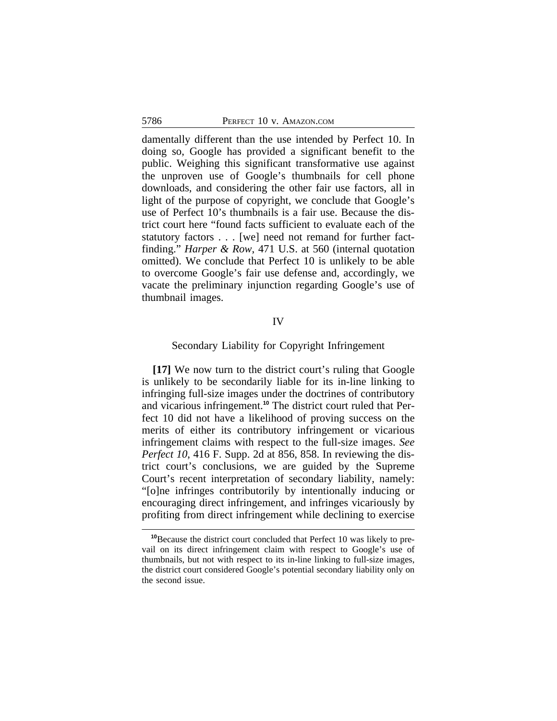damentally different than the use intended by Perfect 10. In doing so, Google has provided a significant benefit to the public. Weighing this significant transformative use against the unproven use of Google's thumbnails for cell phone downloads, and considering the other fair use factors, all in light of the purpose of copyright, we conclude that Google's use of Perfect 10's thumbnails is a fair use. Because the district court here "found facts sufficient to evaluate each of the statutory factors . . . [we] need not remand for further factfinding." *Harper & Row*, 471 U.S. at 560 (internal quotation omitted). We conclude that Perfect 10 is unlikely to be able to overcome Google's fair use defense and, accordingly, we vacate the preliminary injunction regarding Google's use of thumbnail images.

#### IV

# Secondary Liability for Copyright Infringement

**[17]** We now turn to the district court's ruling that Google is unlikely to be secondarily liable for its in-line linking to infringing full-size images under the doctrines of contributory and vicarious infringement.**10** The district court ruled that Perfect 10 did not have a likelihood of proving success on the merits of either its contributory infringement or vicarious infringement claims with respect to the full-size images. *See Perfect 10*, 416 F. Supp. 2d at 856, 858. In reviewing the district court's conclusions, we are guided by the Supreme Court's recent interpretation of secondary liability, namely: "[o]ne infringes contributorily by intentionally inducing or encouraging direct infringement, and infringes vicariously by profiting from direct infringement while declining to exercise

**<sup>10</sup>**Because the district court concluded that Perfect 10 was likely to prevail on its direct infringement claim with respect to Google's use of thumbnails, but not with respect to its in-line linking to full-size images, the district court considered Google's potential secondary liability only on the second issue.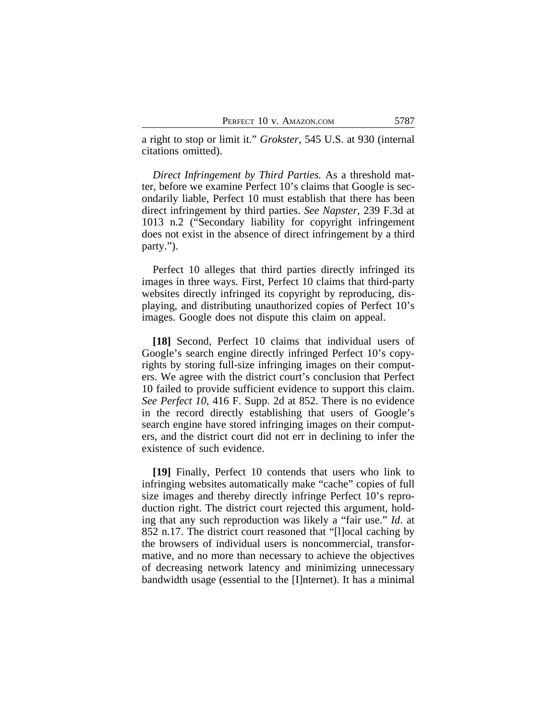a right to stop or limit it." *Grokster*, 545 U.S. at 930 (internal citations omitted).

*Direct Infringement by Third Parties.* As a threshold matter, before we examine Perfect 10's claims that Google is secondarily liable, Perfect 10 must establish that there has been direct infringement by third parties. *See Napster*, 239 F.3d at 1013 n.2 ("Secondary liability for copyright infringement does not exist in the absence of direct infringement by a third party.").

Perfect 10 alleges that third parties directly infringed its images in three ways. First, Perfect 10 claims that third-party websites directly infringed its copyright by reproducing, displaying, and distributing unauthorized copies of Perfect 10's images. Google does not dispute this claim on appeal.

**[18]** Second, Perfect 10 claims that individual users of Google's search engine directly infringed Perfect 10's copyrights by storing full-size infringing images on their computers. We agree with the district court's conclusion that Perfect 10 failed to provide sufficient evidence to support this claim. *See Perfect 10*, 416 F. Supp. 2d at 852. There is no evidence in the record directly establishing that users of Google's search engine have stored infringing images on their computers, and the district court did not err in declining to infer the existence of such evidence.

**[19]** Finally, Perfect 10 contends that users who link to infringing websites automatically make "cache" copies of full size images and thereby directly infringe Perfect 10's reproduction right. The district court rejected this argument, holding that any such reproduction was likely a "fair use." *Id*. at 852 n.17. The district court reasoned that "[l]ocal caching by the browsers of individual users is noncommercial, transformative, and no more than necessary to achieve the objectives of decreasing network latency and minimizing unnecessary bandwidth usage (essential to the [I]nternet). It has a minimal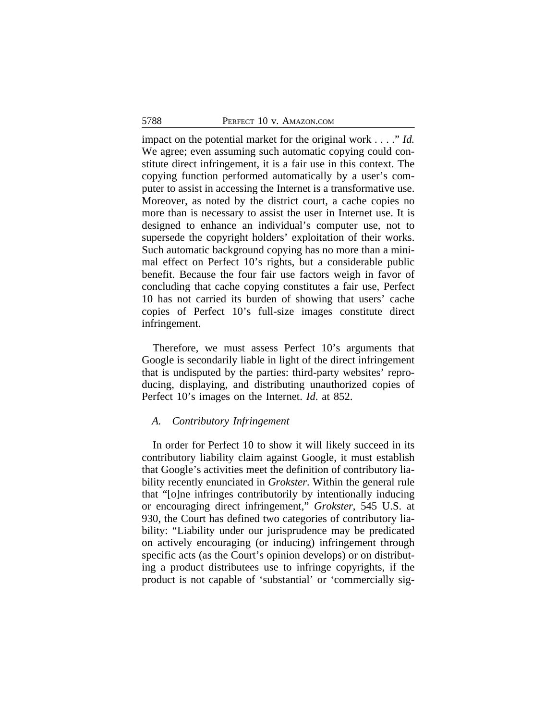impact on the potential market for the original work . . . ." *Id.* We agree; even assuming such automatic copying could constitute direct infringement, it is a fair use in this context. The copying function performed automatically by a user's computer to assist in accessing the Internet is a transformative use. Moreover, as noted by the district court, a cache copies no more than is necessary to assist the user in Internet use. It is designed to enhance an individual's computer use, not to supersede the copyright holders' exploitation of their works. Such automatic background copying has no more than a minimal effect on Perfect 10's rights, but a considerable public benefit. Because the four fair use factors weigh in favor of concluding that cache copying constitutes a fair use, Perfect 10 has not carried its burden of showing that users' cache copies of Perfect 10's full-size images constitute direct infringement.

Therefore, we must assess Perfect 10's arguments that Google is secondarily liable in light of the direct infringement that is undisputed by the parties: third-party websites' reproducing, displaying, and distributing unauthorized copies of Perfect 10's images on the Internet. *Id*. at 852.

# *A. Contributory Infringement*

In order for Perfect 10 to show it will likely succeed in its contributory liability claim against Google, it must establish that Google's activities meet the definition of contributory liability recently enunciated in *Grokster*. Within the general rule that "[o]ne infringes contributorily by intentionally inducing or encouraging direct infringement," *Grokster*, 545 U.S. at 930, the Court has defined two categories of contributory liability: "Liability under our jurisprudence may be predicated on actively encouraging (or inducing) infringement through specific acts (as the Court's opinion develops) or on distributing a product distributees use to infringe copyrights, if the product is not capable of 'substantial' or 'commercially sig-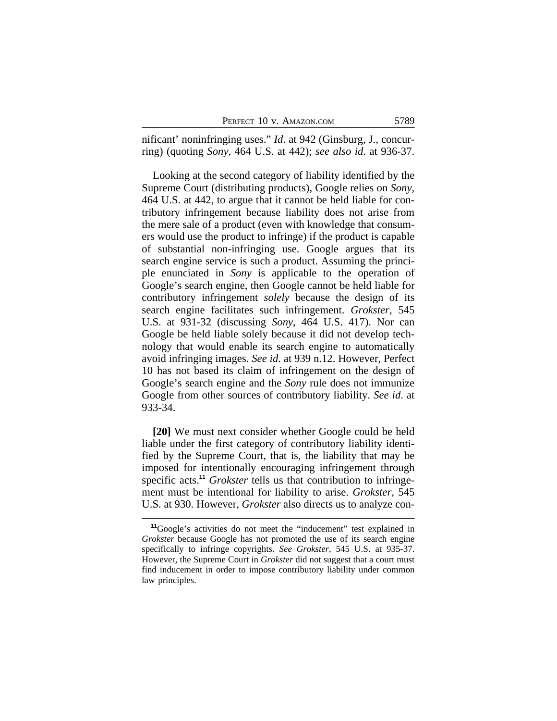|  | PERFECT 10 v. AMAZON.COM | 5789 |
|--|--------------------------|------|
|  |                          |      |

nificant' noninfringing uses." *Id*. at 942 (Ginsburg, J., concurring) (quoting *Sony*, 464 U.S. at 442); *see also id*. at 936-37.

Looking at the second category of liability identified by the Supreme Court (distributing products), Google relies on *Sony*, 464 U.S. at 442, to argue that it cannot be held liable for contributory infringement because liability does not arise from the mere sale of a product (even with knowledge that consumers would use the product to infringe) if the product is capable of substantial non-infringing use. Google argues that its search engine service is such a product. Assuming the principle enunciated in *Sony* is applicable to the operation of Google's search engine, then Google cannot be held liable for contributory infringement *solely* because the design of its search engine facilitates such infringement. *Grokster*, 545 U.S. at 931-32 (discussing *Sony*, 464 U.S. 417). Nor can Google be held liable solely because it did not develop technology that would enable its search engine to automatically avoid infringing images. *See id*. at 939 n.12. However, Perfect 10 has not based its claim of infringement on the design of Google's search engine and the *Sony* rule does not immunize Google from other sources of contributory liability. *See id*. at 933-34.

**[20]** We must next consider whether Google could be held liable under the first category of contributory liability identified by the Supreme Court, that is, the liability that may be imposed for intentionally encouraging infringement through specific acts.**<sup>11</sup>** *Grokster* tells us that contribution to infringement must be intentional for liability to arise. *Grokster*, 545 U.S. at 930. However, *Grokster* also directs us to analyze con-

**<sup>11</sup>**Google's activities do not meet the "inducement" test explained in *Grokster* because Google has not promoted the use of its search engine specifically to infringe copyrights. *See Grokster*, 545 U.S. at 935-37. However, the Supreme Court in *Grokster* did not suggest that a court must find inducement in order to impose contributory liability under common law principles.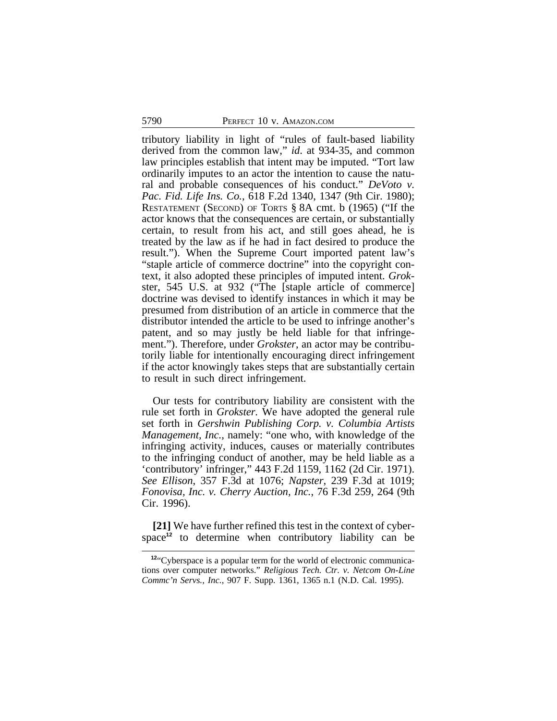tributory liability in light of "rules of fault-based liability derived from the common law," *id*. at 934-35, and common law principles establish that intent may be imputed. "Tort law ordinarily imputes to an actor the intention to cause the natural and probable consequences of his conduct." *DeVoto v. Pac. Fid. Life Ins. Co.*, 618 F.2d 1340, 1347 (9th Cir. 1980); RESTATEMENT (SECOND) OF TORTS § 8A cmt. b (1965) ("If the actor knows that the consequences are certain, or substantially certain, to result from his act, and still goes ahead, he is treated by the law as if he had in fact desired to produce the result."). When the Supreme Court imported patent law's "staple article of commerce doctrine" into the copyright context, it also adopted these principles of imputed intent. *Grok*ster, 545 U.S. at 932 ("The [staple article of commerce] doctrine was devised to identify instances in which it may be presumed from distribution of an article in commerce that the distributor intended the article to be used to infringe another's patent, and so may justly be held liable for that infringement."). Therefore, under *Grokster*, an actor may be contributorily liable for intentionally encouraging direct infringement if the actor knowingly takes steps that are substantially certain to result in such direct infringement.

Our tests for contributory liability are consistent with the rule set forth in *Grokster.* We have adopted the general rule set forth in *Gershwin Publishing Corp. v. Columbia Artists Management, Inc.*, namely: "one who, with knowledge of the infringing activity, induces, causes or materially contributes to the infringing conduct of another, may be held liable as a 'contributory' infringer," 443 F.2d 1159, 1162 (2d Cir. 1971). *See Ellison*, 357 F.3d at 1076; *Napster*, 239 F.3d at 1019; *Fonovisa, Inc. v. Cherry Auction, Inc.*, 76 F.3d 259, 264 (9th Cir. 1996).

**[21]** We have further refined this test in the context of cyberspace<sup>12</sup> to determine when contributory liability can be

**<sup>12</sup>**"Cyberspace is a popular term for the world of electronic communications over computer networks." *Religious Tech. Ctr. v. Netcom On-Line Commc'n Servs., Inc.*, 907 F. Supp. 1361, 1365 n.1 (N.D. Cal. 1995).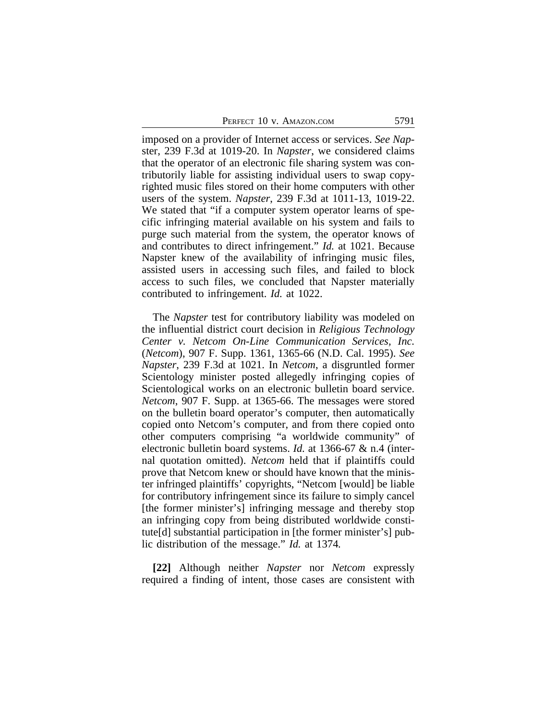PERFECT 10 v. AMAZON.COM 5791

imposed on a provider of Internet access or services. *See Nap*ster, 239 F.3d at 1019-20. In *Napster*, we considered claims that the operator of an electronic file sharing system was contributorily liable for assisting individual users to swap copyrighted music files stored on their home computers with other users of the system. *Napster*, 239 F.3d at 1011-13, 1019-22. We stated that "if a computer system operator learns of specific infringing material available on his system and fails to purge such material from the system, the operator knows of and contributes to direct infringement." *Id.* at 1021. Because Napster knew of the availability of infringing music files, assisted users in accessing such files, and failed to block access to such files, we concluded that Napster materially contributed to infringement. *Id.* at 1022.

The *Napster* test for contributory liability was modeled on the influential district court decision in *Religious Technology Center v. Netcom On-Line Communication Services, Inc.* (*Netcom*), 907 F. Supp. 1361, 1365-66 (N.D. Cal. 1995). *See Napster*, 239 F.3d at 1021. In *Netcom*, a disgruntled former Scientology minister posted allegedly infringing copies of Scientological works on an electronic bulletin board service. *Netcom*, 907 F. Supp. at 1365-66. The messages were stored on the bulletin board operator's computer, then automatically copied onto Netcom's computer, and from there copied onto other computers comprising "a worldwide community" of electronic bulletin board systems. *Id.* at 1366-67 & n.4 (internal quotation omitted). *Netcom* held that if plaintiffs could prove that Netcom knew or should have known that the minister infringed plaintiffs' copyrights, "Netcom [would] be liable for contributory infringement since its failure to simply cancel [the former minister's] infringing message and thereby stop an infringing copy from being distributed worldwide constitute[d] substantial participation in [the former minister's] public distribution of the message." *Id.* at 1374*.* 

**[22]** Although neither *Napster* nor *Netcom* expressly required a finding of intent, those cases are consistent with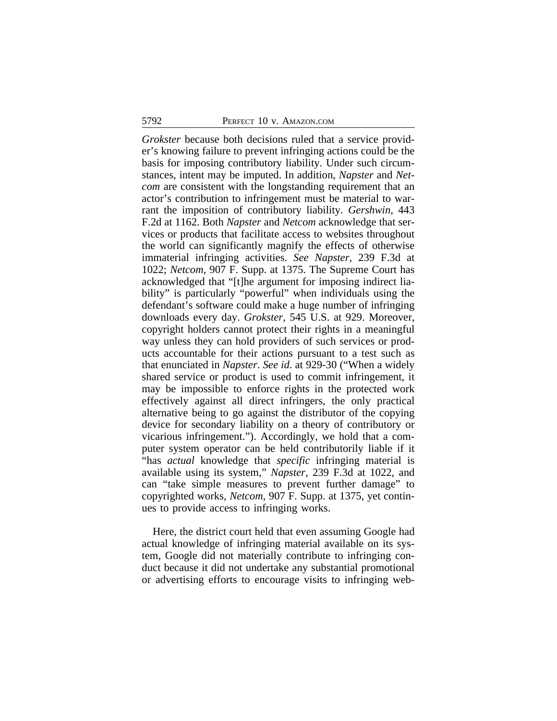*Grokster* because both decisions ruled that a service provider's knowing failure to prevent infringing actions could be the basis for imposing contributory liability. Under such circumstances, intent may be imputed. In addition, *Napster* and *Netcom* are consistent with the longstanding requirement that an actor's contribution to infringement must be material to warrant the imposition of contributory liability. *Gershwin*, 443 F.2d at 1162. Both *Napster* and *Netcom* acknowledge that services or products that facilitate access to websites throughout the world can significantly magnify the effects of otherwise immaterial infringing activities. *See Napster*, 239 F.3d at 1022; *Netcom*, 907 F. Supp. at 1375. The Supreme Court has acknowledged that "[t]he argument for imposing indirect liability" is particularly "powerful" when individuals using the defendant's software could make a huge number of infringing downloads every day. *Grokster*, 545 U.S. at 929. Moreover, copyright holders cannot protect their rights in a meaningful way unless they can hold providers of such services or products accountable for their actions pursuant to a test such as that enunciated in *Napster*. *See id*. at 929-30 ("When a widely shared service or product is used to commit infringement, it may be impossible to enforce rights in the protected work effectively against all direct infringers, the only practical alternative being to go against the distributor of the copying device for secondary liability on a theory of contributory or vicarious infringement."). Accordingly, we hold that a computer system operator can be held contributorily liable if it "has *actual* knowledge that *specific* infringing material is available using its system," *Napster*, 239 F.3d at 1022, and can "take simple measures to prevent further damage" to copyrighted works, *Netcom*, 907 F. Supp. at 1375, yet continues to provide access to infringing works.

Here, the district court held that even assuming Google had actual knowledge of infringing material available on its system, Google did not materially contribute to infringing conduct because it did not undertake any substantial promotional or advertising efforts to encourage visits to infringing web-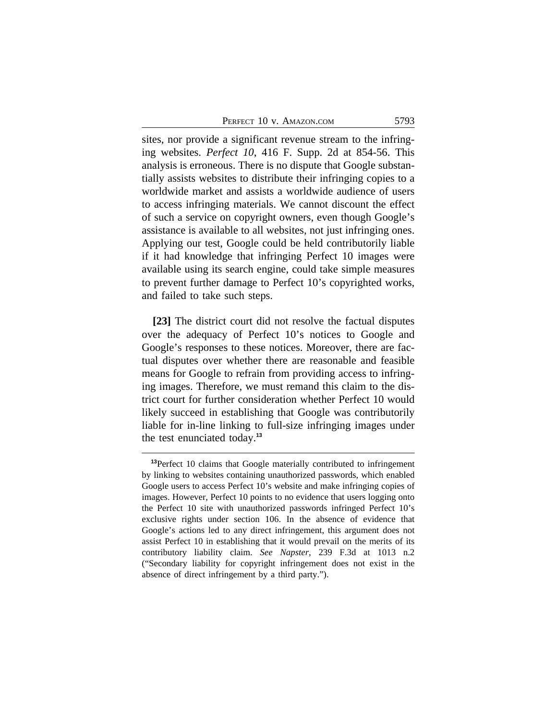| PERFECT 10 v. AMAZON.COM | 5793 |
|--------------------------|------|
|                          |      |

sites, nor provide a significant revenue stream to the infringing websites. *Perfect 10*, 416 F. Supp. 2d at 854-56. This analysis is erroneous. There is no dispute that Google substantially assists websites to distribute their infringing copies to a worldwide market and assists a worldwide audience of users to access infringing materials. We cannot discount the effect of such a service on copyright owners, even though Google's assistance is available to all websites, not just infringing ones. Applying our test, Google could be held contributorily liable if it had knowledge that infringing Perfect 10 images were available using its search engine, could take simple measures to prevent further damage to Perfect 10's copyrighted works, and failed to take such steps.

**[23]** The district court did not resolve the factual disputes over the adequacy of Perfect 10's notices to Google and Google's responses to these notices. Moreover, there are factual disputes over whether there are reasonable and feasible means for Google to refrain from providing access to infringing images. Therefore, we must remand this claim to the district court for further consideration whether Perfect 10 would likely succeed in establishing that Google was contributorily liable for in-line linking to full-size infringing images under the test enunciated today.**<sup>13</sup>**

**<sup>13</sup>**Perfect 10 claims that Google materially contributed to infringement by linking to websites containing unauthorized passwords, which enabled Google users to access Perfect 10's website and make infringing copies of images. However, Perfect 10 points to no evidence that users logging onto the Perfect 10 site with unauthorized passwords infringed Perfect 10's exclusive rights under section 106. In the absence of evidence that Google's actions led to any direct infringement, this argument does not assist Perfect 10 in establishing that it would prevail on the merits of its contributory liability claim. *See Napster*, 239 F.3d at 1013 n.2 ("Secondary liability for copyright infringement does not exist in the absence of direct infringement by a third party.").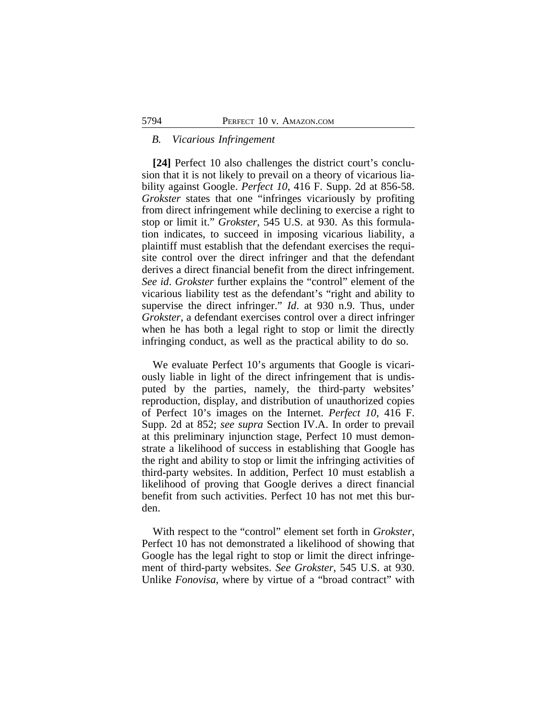#### *B. Vicarious Infringement*

**[24]** Perfect 10 also challenges the district court's conclusion that it is not likely to prevail on a theory of vicarious liability against Google. *Perfect 10*, 416 F. Supp. 2d at 856-58. *Grokster* states that one "infringes vicariously by profiting from direct infringement while declining to exercise a right to stop or limit it." *Grokster*, 545 U.S. at 930. As this formulation indicates, to succeed in imposing vicarious liability, a plaintiff must establish that the defendant exercises the requisite control over the direct infringer and that the defendant derives a direct financial benefit from the direct infringement. *See id*. *Grokster* further explains the "control" element of the vicarious liability test as the defendant's "right and ability to supervise the direct infringer." *Id*. at 930 n.9. Thus, under *Grokster*, a defendant exercises control over a direct infringer when he has both a legal right to stop or limit the directly infringing conduct, as well as the practical ability to do so.

We evaluate Perfect 10's arguments that Google is vicariously liable in light of the direct infringement that is undisputed by the parties, namely, the third-party websites' reproduction, display, and distribution of unauthorized copies of Perfect 10's images on the Internet. *Perfect 10*, 416 F. Supp. 2d at 852; *see supra* Section IV.A. In order to prevail at this preliminary injunction stage, Perfect 10 must demonstrate a likelihood of success in establishing that Google has the right and ability to stop or limit the infringing activities of third-party websites. In addition, Perfect 10 must establish a likelihood of proving that Google derives a direct financial benefit from such activities. Perfect 10 has not met this burden.

With respect to the "control" element set forth in *Grokster*, Perfect 10 has not demonstrated a likelihood of showing that Google has the legal right to stop or limit the direct infringement of third-party websites. *See Grokster*, 545 U.S. at 930. Unlike *Fonovisa*, where by virtue of a "broad contract" with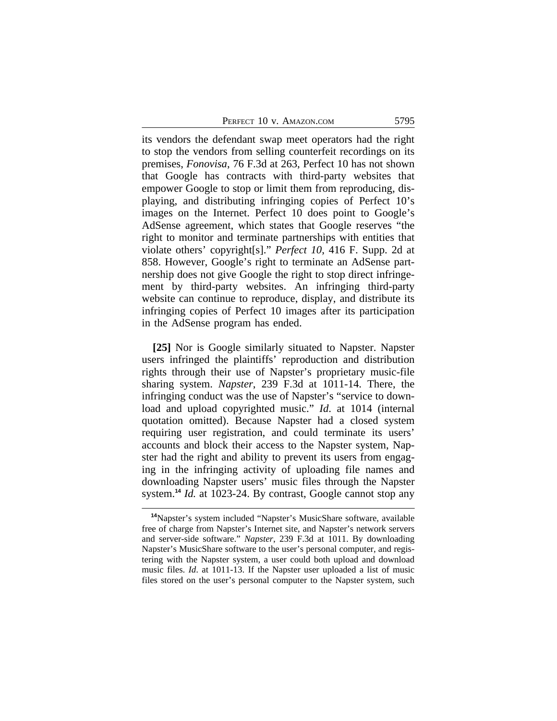its vendors the defendant swap meet operators had the right to stop the vendors from selling counterfeit recordings on its premises, *Fonovisa*, 76 F.3d at 263, Perfect 10 has not shown that Google has contracts with third-party websites that empower Google to stop or limit them from reproducing, displaying, and distributing infringing copies of Perfect 10's images on the Internet. Perfect 10 does point to Google's AdSense agreement, which states that Google reserves "the right to monitor and terminate partnerships with entities that violate others' copyright[s]." *Perfect 10*, 416 F. Supp. 2d at 858. However, Google's right to terminate an AdSense partnership does not give Google the right to stop direct infringement by third-party websites. An infringing third-party website can continue to reproduce, display, and distribute its infringing copies of Perfect 10 images after its participation in the AdSense program has ended.

**[25]** Nor is Google similarly situated to Napster. Napster users infringed the plaintiffs' reproduction and distribution rights through their use of Napster's proprietary music-file sharing system. *Napster*, 239 F.3d at 1011-14. There, the infringing conduct was the use of Napster's "service to download and upload copyrighted music." *Id*. at 1014 (internal quotation omitted). Because Napster had a closed system requiring user registration, and could terminate its users' accounts and block their access to the Napster system, Napster had the right and ability to prevent its users from engaging in the infringing activity of uploading file names and downloading Napster users' music files through the Napster system.**<sup>14</sup>** *Id.* at 1023-24. By contrast, Google cannot stop any

**<sup>14</sup>**Napster's system included "Napster's MusicShare software, available free of charge from Napster's Internet site, and Napster's network servers and server-side software." *Napster*, 239 F.3d at 1011. By downloading Napster's MusicShare software to the user's personal computer, and registering with the Napster system, a user could both upload and download music files. *Id*. at 1011-13. If the Napster user uploaded a list of music files stored on the user's personal computer to the Napster system, such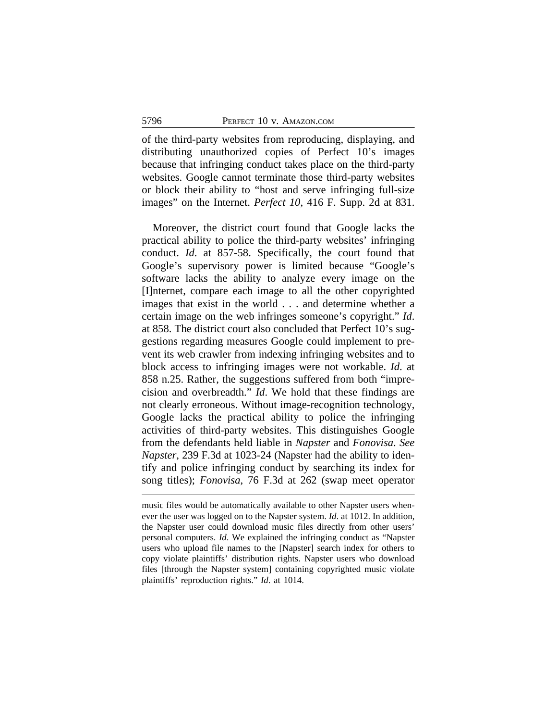of the third-party websites from reproducing, displaying, and distributing unauthorized copies of Perfect 10's images because that infringing conduct takes place on the third-party websites. Google cannot terminate those third-party websites or block their ability to "host and serve infringing full-size images" on the Internet. *Perfect 10*, 416 F. Supp. 2d at 831.

Moreover, the district court found that Google lacks the practical ability to police the third-party websites' infringing conduct. *Id*. at 857-58. Specifically, the court found that Google's supervisory power is limited because "Google's software lacks the ability to analyze every image on the [I]nternet, compare each image to all the other copyrighted images that exist in the world . . . and determine whether a certain image on the web infringes someone's copyright." *Id*. at 858. The district court also concluded that Perfect 10's suggestions regarding measures Google could implement to prevent its web crawler from indexing infringing websites and to block access to infringing images were not workable. *Id*. at 858 n.25. Rather, the suggestions suffered from both "imprecision and overbreadth." *Id*. We hold that these findings are not clearly erroneous. Without image-recognition technology, Google lacks the practical ability to police the infringing activities of third-party websites. This distinguishes Google from the defendants held liable in *Napster* and *Fonovisa*. *See Napster*, 239 F.3d at 1023-24 (Napster had the ability to identify and police infringing conduct by searching its index for song titles); *Fonovisa*, 76 F.3d at 262 (swap meet operator

music files would be automatically available to other Napster users whenever the user was logged on to the Napster system. *Id*. at 1012. In addition, the Napster user could download music files directly from other users' personal computers. *Id*. We explained the infringing conduct as "Napster users who upload file names to the [Napster] search index for others to copy violate plaintiffs' distribution rights. Napster users who download files [through the Napster system] containing copyrighted music violate plaintiffs' reproduction rights." *Id*. at 1014.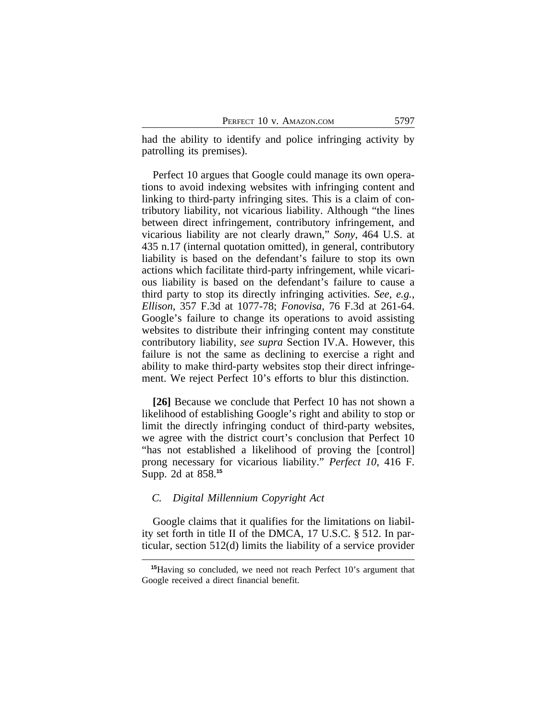had the ability to identify and police infringing activity by patrolling its premises).

Perfect 10 argues that Google could manage its own operations to avoid indexing websites with infringing content and linking to third-party infringing sites. This is a claim of contributory liability, not vicarious liability. Although "the lines between direct infringement, contributory infringement, and vicarious liability are not clearly drawn," *Sony*, 464 U.S. at 435 n.17 (internal quotation omitted), in general, contributory liability is based on the defendant's failure to stop its own actions which facilitate third-party infringement, while vicarious liability is based on the defendant's failure to cause a third party to stop its directly infringing activities. *See, e.g.*, *Ellison*, 357 F.3d at 1077-78; *Fonovisa*, 76 F.3d at 261-64. Google's failure to change its operations to avoid assisting websites to distribute their infringing content may constitute contributory liability, *see supra* Section IV.A. However, this failure is not the same as declining to exercise a right and ability to make third-party websites stop their direct infringement. We reject Perfect 10's efforts to blur this distinction.

**[26]** Because we conclude that Perfect 10 has not shown a likelihood of establishing Google's right and ability to stop or limit the directly infringing conduct of third-party websites, we agree with the district court's conclusion that Perfect 10 "has not established a likelihood of proving the [control] prong necessary for vicarious liability." *Perfect 10*, 416 F. Supp. 2d at 858.**<sup>15</sup>**

### *C. Digital Millennium Copyright Act*

Google claims that it qualifies for the limitations on liability set forth in title II of the DMCA, 17 U.S.C. § 512. In particular, section 512(d) limits the liability of a service provider

**<sup>15</sup>**Having so concluded, we need not reach Perfect 10's argument that Google received a direct financial benefit.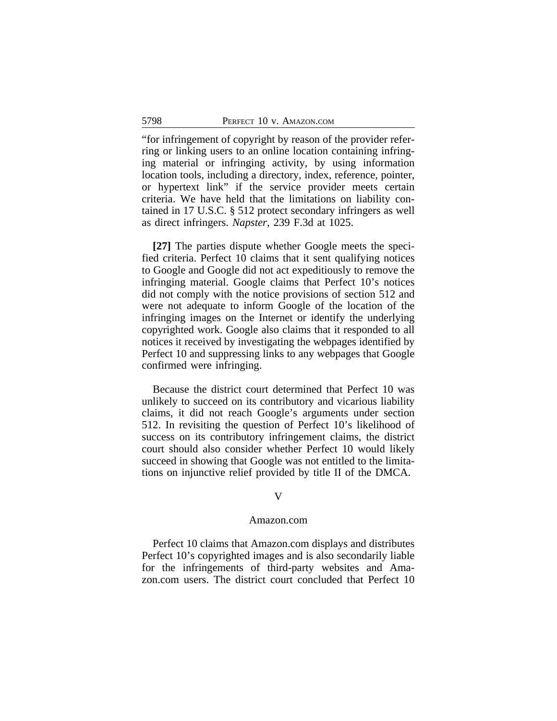"for infringement of copyright by reason of the provider referring or linking users to an online location containing infringing material or infringing activity, by using information location tools, including a directory, index, reference, pointer, or hypertext link" if the service provider meets certain criteria. We have held that the limitations on liability contained in 17 U.S.C. § 512 protect secondary infringers as well as direct infringers. *Napster*, 239 F.3d at 1025.

**[27]** The parties dispute whether Google meets the specified criteria. Perfect 10 claims that it sent qualifying notices to Google and Google did not act expeditiously to remove the infringing material. Google claims that Perfect 10's notices did not comply with the notice provisions of section 512 and were not adequate to inform Google of the location of the infringing images on the Internet or identify the underlying copyrighted work. Google also claims that it responded to all notices it received by investigating the webpages identified by Perfect 10 and suppressing links to any webpages that Google confirmed were infringing.

Because the district court determined that Perfect 10 was unlikely to succeed on its contributory and vicarious liability claims, it did not reach Google's arguments under section 512. In revisiting the question of Perfect 10's likelihood of success on its contributory infringement claims, the district court should also consider whether Perfect 10 would likely succeed in showing that Google was not entitled to the limitations on injunctive relief provided by title II of the DMCA.

## V

#### Amazon.com

Perfect 10 claims that Amazon.com displays and distributes Perfect 10's copyrighted images and is also secondarily liable for the infringements of third-party websites and Amazon.com users. The district court concluded that Perfect 10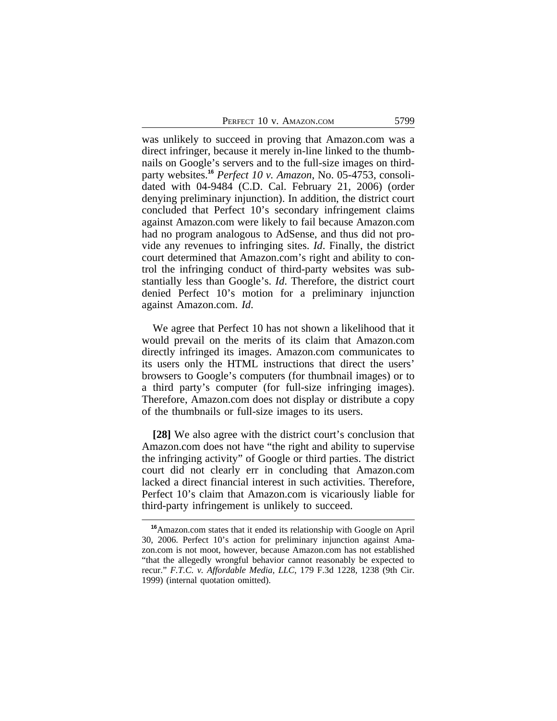was unlikely to succeed in proving that Amazon.com was a direct infringer, because it merely in-line linked to the thumbnails on Google's servers and to the full-size images on thirdparty websites.**<sup>16</sup>** *Perfect 10 v. Amazon*, No. 05-4753, consolidated with 04-9484 (C.D. Cal. February 21, 2006) (order denying preliminary injunction). In addition, the district court concluded that Perfect 10's secondary infringement claims against Amazon.com were likely to fail because Amazon.com had no program analogous to AdSense, and thus did not provide any revenues to infringing sites. *Id*. Finally, the district court determined that Amazon.com's right and ability to control the infringing conduct of third-party websites was substantially less than Google's. *Id*. Therefore, the district court denied Perfect 10's motion for a preliminary injunction against Amazon.com. *Id*.

We agree that Perfect 10 has not shown a likelihood that it would prevail on the merits of its claim that Amazon.com directly infringed its images. Amazon.com communicates to its users only the HTML instructions that direct the users' browsers to Google's computers (for thumbnail images) or to a third party's computer (for full-size infringing images). Therefore, Amazon.com does not display or distribute a copy of the thumbnails or full-size images to its users.

**[28]** We also agree with the district court's conclusion that Amazon.com does not have "the right and ability to supervise the infringing activity" of Google or third parties. The district court did not clearly err in concluding that Amazon.com lacked a direct financial interest in such activities. Therefore, Perfect 10's claim that Amazon.com is vicariously liable for third-party infringement is unlikely to succeed.

**<sup>16</sup>**Amazon.com states that it ended its relationship with Google on April 30, 2006. Perfect 10's action for preliminary injunction against Amazon.com is not moot, however, because Amazon.com has not established "that the allegedly wrongful behavior cannot reasonably be expected to recur." *F.T.C. v. Affordable Media, LLC*, 179 F.3d 1228, 1238 (9th Cir. 1999) (internal quotation omitted).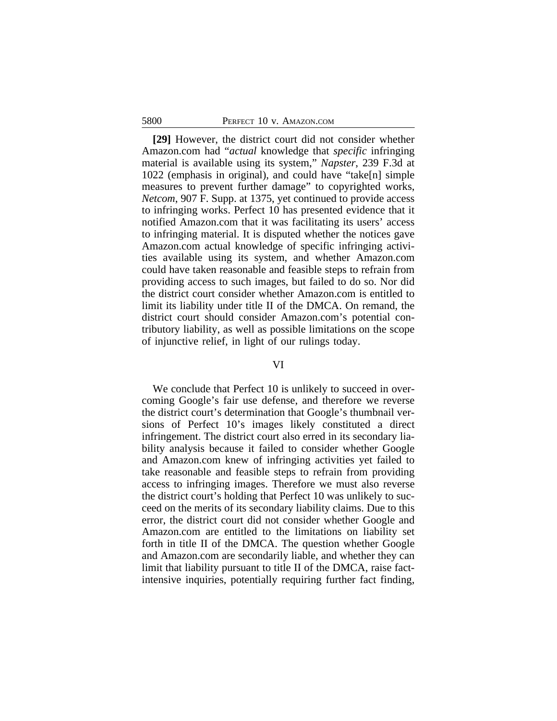#### 5800 PERFECT 10 v. AMAZON.COM

**[29]** However, the district court did not consider whether Amazon.com had "*actual* knowledge that *specific* infringing material is available using its system," *Napster*, 239 F.3d at 1022 (emphasis in original), and could have "take[n] simple measures to prevent further damage" to copyrighted works, *Netcom*, 907 F. Supp. at 1375, yet continued to provide access to infringing works. Perfect 10 has presented evidence that it notified Amazon.com that it was facilitating its users' access to infringing material. It is disputed whether the notices gave Amazon.com actual knowledge of specific infringing activities available using its system, and whether Amazon.com could have taken reasonable and feasible steps to refrain from providing access to such images, but failed to do so. Nor did the district court consider whether Amazon.com is entitled to limit its liability under title II of the DMCA. On remand, the district court should consider Amazon.com's potential contributory liability, as well as possible limitations on the scope of injunctive relief, in light of our rulings today.

### VI

We conclude that Perfect 10 is unlikely to succeed in overcoming Google's fair use defense, and therefore we reverse the district court's determination that Google's thumbnail versions of Perfect 10's images likely constituted a direct infringement. The district court also erred in its secondary liability analysis because it failed to consider whether Google and Amazon.com knew of infringing activities yet failed to take reasonable and feasible steps to refrain from providing access to infringing images. Therefore we must also reverse the district court's holding that Perfect 10 was unlikely to succeed on the merits of its secondary liability claims. Due to this error, the district court did not consider whether Google and Amazon.com are entitled to the limitations on liability set forth in title II of the DMCA. The question whether Google and Amazon.com are secondarily liable, and whether they can limit that liability pursuant to title II of the DMCA, raise factintensive inquiries, potentially requiring further fact finding,